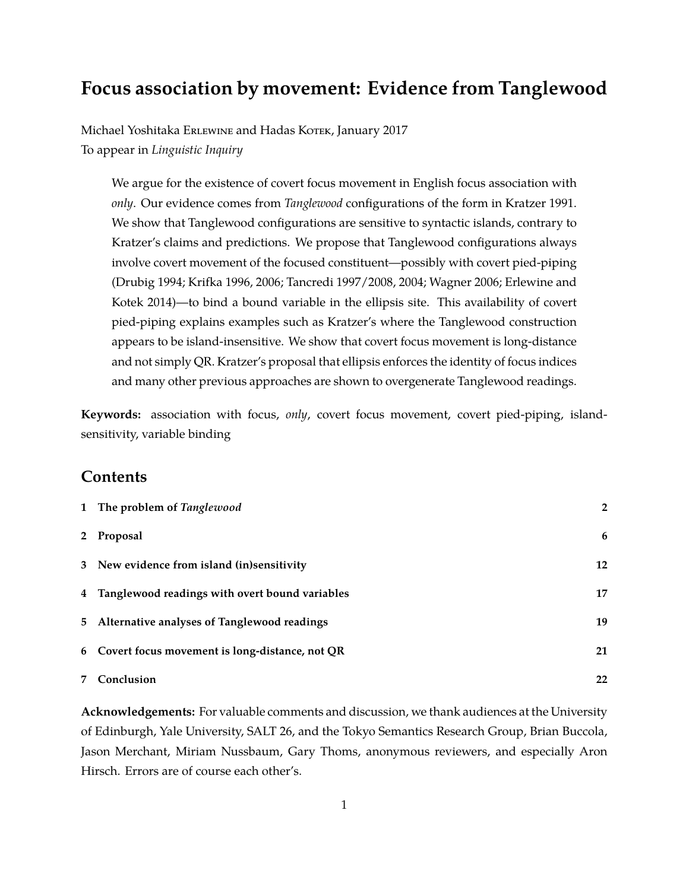# **Focus association by movement: Evidence from Tanglewood**

Michael Yoshitaka Erlewine and Hadas Kotek, January 2017 To appear in *Linguistic Inquiry*

We argue for the existence of covert focus movement in English focus association with *only*. Our evidence comes from *Tanglewood* configurations of the form in Kratzer 1991. We show that Tanglewood configurations are sensitive to syntactic islands, contrary to Kratzer's claims and predictions. We propose that Tanglewood configurations always involve covert movement of the focused constituent—possibly with covert pied-piping (Drubig 1994; Krifka 1996, 2006; Tancredi 1997/2008, 2004; Wagner 2006; Erlewine and Kotek 2014)—to bind a bound variable in the ellipsis site. This availability of covert pied-piping explains examples such as Kratzer's where the Tanglewood construction appears to be island-insensitive. We show that covert focus movement is long-distance and not simply QR. Kratzer's proposal that ellipsis enforces the identity of focus indices and many other previous approaches are shown to overgenerate Tanglewood readings.

**Keywords:** association with focus, *only*, covert focus movement, covert pied-piping, islandsensitivity, variable binding

# **Contents**

| 1 The problem of Tanglewood                      | $\overline{2}$ |
|--------------------------------------------------|----------------|
| 2 Proposal                                       | 6              |
| 3 New evidence from island (in)sensitivity       | 12             |
| 4 Tanglewood readings with overt bound variables | 17             |
| 5 Alternative analyses of Tanglewood readings    | 19             |
| 6 Covert focus movement is long-distance, not QR | 21             |
| 7 Conclusion                                     | 22             |

**Acknowledgements:** For valuable comments and discussion, we thank audiences at the University of Edinburgh, Yale University, SALT 26, and the Tokyo Semantics Research Group, Brian Buccola, Jason Merchant, Miriam Nussbaum, Gary Thoms, anonymous reviewers, and especially Aron Hirsch. Errors are of course each other's.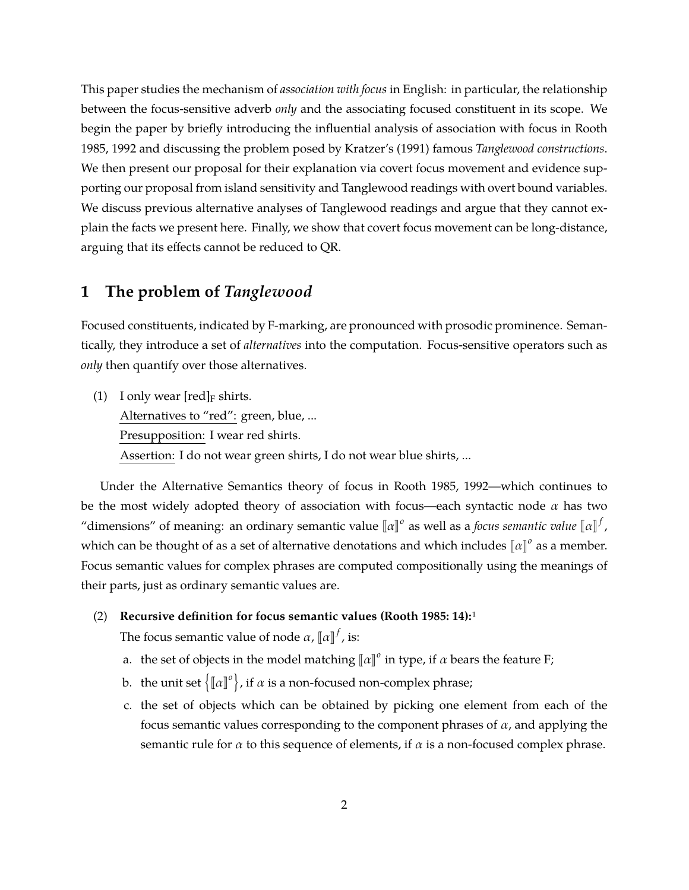This paper studies the mechanism of *association with focus* in English: in particular, the relationship between the focus-sensitive adverb *only* and the associating focused constituent in its scope. We begin the paper by briefly introducing the influential analysis of association with focus in Rooth 1985, 1992 and discussing the problem posed by Kratzer's (1991) famous *Tanglewood constructions*. We then present our proposal for their explanation via covert focus movement and evidence supporting our proposal from island sensitivity and Tanglewood readings with overt bound variables. We discuss previous alternative analyses of Tanglewood readings and argue that they cannot explain the facts we present here. Finally, we show that covert focus movement can be long-distance, arguing that its effects cannot be reduced to QR.

# **1 The problem of** *Tanglewood*

Focused constituents, indicated by F-marking, are pronounced with prosodic prominence. Semantically, they introduce a set of *alternatives* into the computation. Focus-sensitive operators such as *only* then quantify over those alternatives.

(1) I only wear  $[\text{red}]_F$  shirts. Alternatives to "red": green, blue, ... Presupposition: I wear red shirts. Assertion: I do not wear green shirts, I do not wear blue shirts, ...

Under the Alternative Semantics theory of focus in Rooth 1985, 1992—which continues to be the most widely adopted theory of association with focus—each syntactic node  $\alpha$  has two "dimensions" of meaning: an ordinary semantic value  $[\![\alpha]\!]$ <sup>o</sup> as well as a *focus semantic value*  $[\![\alpha]\!]^f$ , which can be thought of as a set of alternative denotations and which includes  $\llbracket a \rrbracket^o$  as a member. Focus semantic values for complex phrases are computed compositionally using the meanings of their parts, just as ordinary semantic values are.

(2) **Recursive definition for focus semantic values (Rooth 1985: 14):**1

The focus semantic value of node  $\alpha$ ,  $\llbracket \alpha \rrbracket^f$ , is:

- a. the set of objects in the model matching  $\llbracket \alpha \rrbracket^o$  in type, if  $\alpha$  bears the feature F;
- b. the unit set  $\left\{ \llbracket \alpha \rrbracket^o \right\}$ , if  $\alpha$  is a non-focused non-complex phrase;
- c. the set of objects which can be obtained by picking one element from each of the focus semantic values corresponding to the component phrases of  $\alpha$ , and applying the semantic rule for  $\alpha$  to this sequence of elements, if  $\alpha$  is a non-focused complex phrase.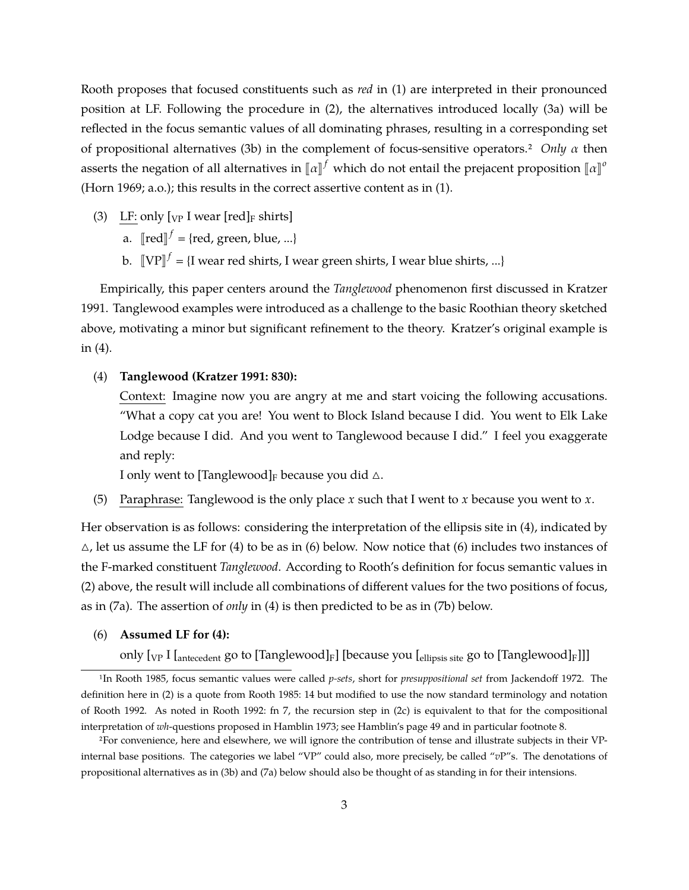Rooth proposes that focused constituents such as *red* in (1) are interpreted in their pronounced position at LF. Following the procedure in (2), the alternatives introduced locally (3a) will be reflected in the focus semantic values of all dominating phrases, resulting in a corresponding set of propositional alternatives (3b) in the complement of focus-sensitive operators.2 *Only* α then asserts the negation of all alternatives in  $\llbracket a \rrbracket^f$  which do not entail the prejacent proposition  $\llbracket a \rrbracket^o$ (Horn 1969; a.o.); this results in the correct assertive content as in (1).

- (3) LF: only  $[\text{VP} \text{ I wear } [\text{red}]$ <sub>F</sub> shirts]
	- a.  $\llbracket \text{red} \rrbracket^f = \{\text{red, green, blue, ...\}$
	- b.  $\llbracket \text{VP} \rrbracket^f = \{\text{I wear red shirts, I wear green shirts, I wear blue shirts, ...\}$

Empirically, this paper centers around the *Tanglewood* phenomenon first discussed in Kratzer 1991. Tanglewood examples were introduced as a challenge to the basic Roothian theory sketched above, motivating a minor but significant refinement to the theory. Kratzer's original example is in (4).

## (4) **Tanglewood (Kratzer 1991: 830):**

Context: Imagine now you are angry at me and start voicing the following accusations. "What a copy cat you are! You went to Block Island because I did. You went to Elk Lake Lodge because I did. And you went to Tanglewood because I did." I feel you exaggerate and reply:

I only went to [Tanglewood]<sub>F</sub> because you did  $\triangle$ .

(5) Paraphrase: Tanglewood is the only place *x* such that I went to *x* because you went to *x*.

Her observation is as follows: considering the interpretation of the ellipsis site in (4), indicated by  $\triangle$ , let us assume the LF for (4) to be as in (6) below. Now notice that (6) includes two instances of the F-marked constituent *Tanglewood*. According to Rooth's definition for focus semantic values in (2) above, the result will include all combinations of different values for the two positions of focus, as in (7a). The assertion of *only* in (4) is then predicted to be as in (7b) below.

## (6) **Assumed LF for (4):**

only  $[\nabla_{\text{V}} I]_{\text{antecedent}}$  go to  $[\text{Tanglewood}]_F$ ] [because you  $[\text{ellipsis site}]$  go to  $[\text{Tanglewood}]_F$ ]]]

<sup>1</sup>In Rooth 1985, focus semantic values were called *p-sets*, short for *presuppositional set* from Jackendoff 1972. The definition here in (2) is a quote from Rooth 1985: 14 but modified to use the now standard terminology and notation of Rooth 1992. As noted in Rooth 1992: fn 7, the recursion step in (2c) is equivalent to that for the compositional interpretation of *wh*-questions proposed in Hamblin 1973; see Hamblin's page 49 and in particular footnote 8.

<sup>2</sup>For convenience, here and elsewhere, we will ignore the contribution of tense and illustrate subjects in their VPinternal base positions. The categories we label "VP" could also, more precisely, be called "*v*P"s. The denotations of propositional alternatives as in (3b) and (7a) below should also be thought of as standing in for their intensions.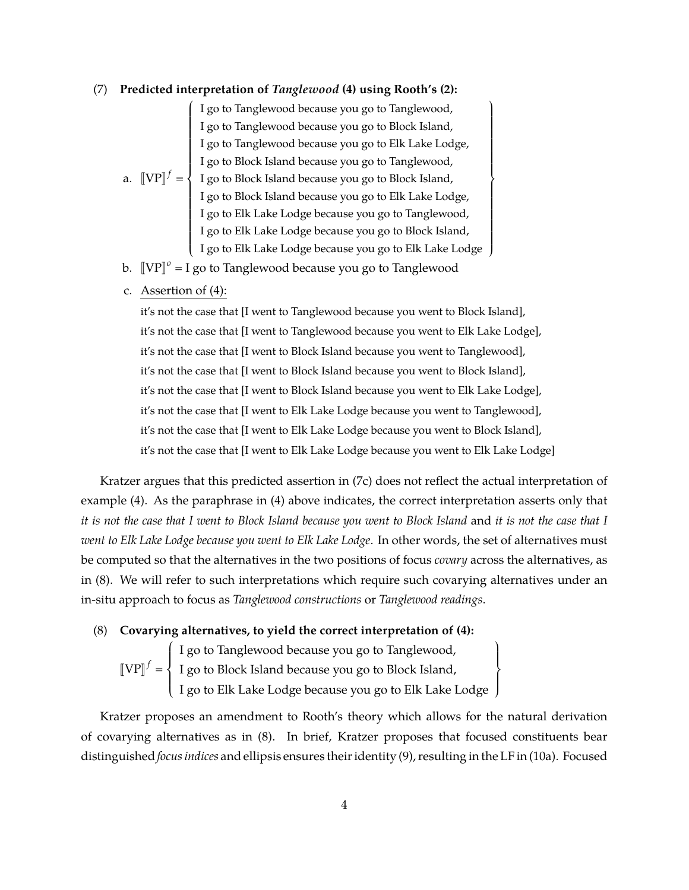### (7) **Predicted interpretation of** *Tanglewood* **(4) using Rooth's (2):**

a.  $[\![VP]\!]^f = \left\{$  $\begin{picture}(20,20) \put(0,0){\vector(1,0){10}} \put(15,0){\vector(1,0){10}} \put(15,0){\vector(1,0){10}} \put(15,0){\vector(1,0){10}} \put(15,0){\vector(1,0){10}} \put(15,0){\vector(1,0){10}} \put(15,0){\vector(1,0){10}} \put(15,0){\vector(1,0){10}} \put(15,0){\vector(1,0){10}} \put(15,0){\vector(1,0){10}} \put(15,0){\vector(1,0){10}} \put(15,0){\vector(1$  $\overline{\phantom{a}}$  $\overline{ }$ I go to Tanglewood because you go to Tanglewood, I go to Tanglewood because you go to Block Island, I go to Tanglewood because you go to Elk Lake Lodge, I go to Block Island because you go to Tanglewood, I go to Block Island because you go to Block Island, I go to Block Island because you go to Elk Lake Lodge, I go to Elk Lake Lodge because you go to Tanglewood, I go to Elk Lake Lodge because you go to Tanglewood,<br>I go to Elk Lake Lodge because you go to Block Island, I go to Elk Lake Lodge because you go to Elk Lake Lodge

 $\mathfrak{g}$ 

 $\left\{$   $\right\}$ 

J

 $\begin{array}{c} \hline \end{array}$  $\mathfrak{r}$  $\left\{ \right\}$ J

- b.  $\llbracket VP \rrbracket^o = I$  go to Tanglewood because you go to Tanglewood
- c. Assertion of (4):

it's not the case that [I went to Tanglewood because you went to Block Island], it's not the case that [I went to Tanglewood because you went to Elk Lake Lodge], it's not the case that [I went to Block Island because you went to Tanglewood], it's not the case that [I went to Block Island because you went to Block Island], it's not the case that [I went to Block Island because you went to Elk Lake Lodge], it's not the case that [I went to Elk Lake Lodge because you went to Tanglewood], it's not the case that [I went to Elk Lake Lodge because you went to Block Island], it's not the case that [I went to Elk Lake Lodge because you went to Elk Lake Lodge]

Kratzer argues that this predicted assertion in (7c) does not reflect the actual interpretation of example (4). As the paraphrase in (4) above indicates, the correct interpretation asserts only that *it is not the case that I went to Block Island because you went to Block Island* and *it is not the case that I went to Elk Lake Lodge because you went to Elk Lake Lodge*. In other words, the set of alternatives must be computed so that the alternatives in the two positions of focus *covary* across the alternatives, as in (8). We will refer to such interpretations which require such covarying alternatives under an in-situ approach to focus as *Tanglewood constructions* or *Tanglewood readings*.

(8) **Covarying alternatives, to yield the correct interpretation of (4):**

 $[\![VP]\!]^f =$  $\left\{\begin{matrix} 1 & 0 & 0 \\ 0 & 0 & 0 \\ 0 & 0 & 0 \\ 0 & 0 & 0 \\ 0 & 0 & 0 \\ 0 & 0 & 0 \\ 0 & 0 & 0 \\ 0 & 0 & 0 \\ 0 & 0 & 0 & 0 \\ 0 & 0 & 0 & 0 \\ 0 & 0 & 0 & 0 \\ 0 & 0 & 0 & 0 & 0 \\ 0 & 0 & 0 & 0 & 0 \\ 0 & 0 & 0 & 0 & 0 \\ 0 & 0 & 0 & 0 & 0 & 0 \\ 0 & 0 & 0 & 0 & 0 & 0 \\ 0 & 0 & 0 & 0 & 0 & 0 \\ 0 & 0$  $\overline{ }$ I go to Tanglewood because you go to Tanglewood, I go to Block Island because you go to Block Island, I go to Elk Lake Lodge because you go to Elk Lake Lodge

Kratzer proposes an amendment to Rooth's theory which allows for the natural derivation of covarying alternatives as in (8). In brief, Kratzer proposes that focused constituents bear distinguished *focus indices* and ellipsis ensures their identity (9), resulting in the LF in (10a). Focused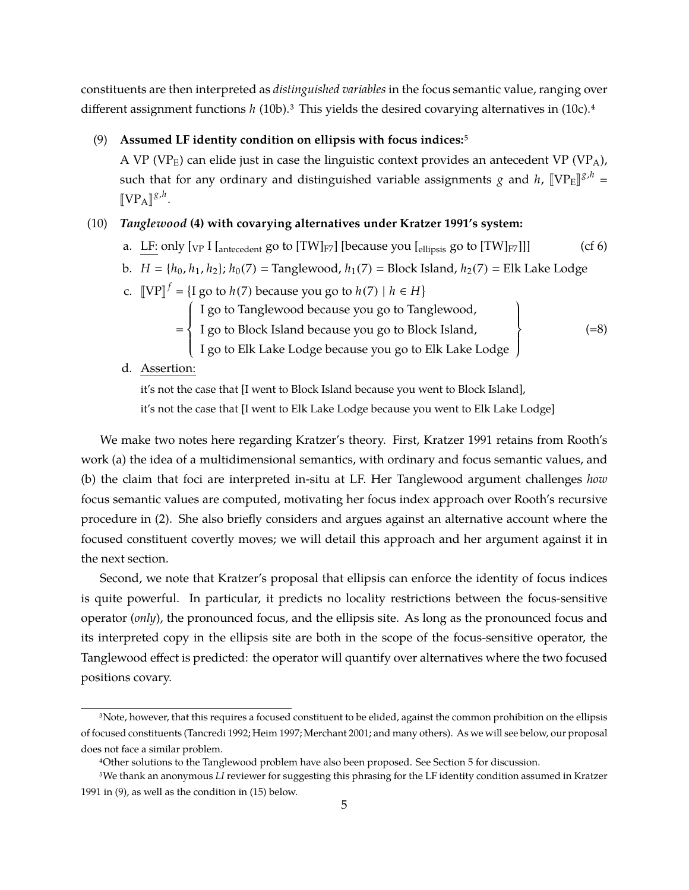constituents are then interpreted as *distinguished variables* in the focus semantic value, ranging over different assignment functions *h* (10b).<sup>3</sup> This yields the desired covarying alternatives in (10c).<sup>4</sup>

### (9) **Assumed LF identity condition on ellipsis with focus indices:**5

A VP (VP<sub>E</sub>) can elide just in case the linguistic context provides an antecedent VP (VP<sub>A</sub>), such that for any ordinary and distinguished variable assignments *g* and *h*,  $[\![VP_E]\!]^{g,h} =$  $[\![VP_A]\!]^{\mathcal{S},h}$ .

# (10) *Tanglewood* **(4) with covarying alternatives under Kratzer 1991's system:**

- a. LF: only  $[\text{VP I}$   $[\text{antecedent}$  go to  $[\text{TW}]_{F7}]$  [because you  $[\text{ellipsis}$  go to  $[\text{TW}]_{F7}]$ ]] (cf 6)
- b. *H* = { $h_0$ ,  $h_1$ ,  $h_2$ };  $h_0(7)$  = Tanglewood,  $h_1(7)$  = Block Island,  $h_2(7)$  = Elk Lake Lodge
- c.  $[VP]^f = \{I \text{ go to } h(7) \text{ because you go to } h(7) \mid h \in H\}$ 
	- $\left\{\begin{matrix} 1 \\ 1 \end{matrix}\right\}$ I go to Tanglewood because you go to Tanglewood,
		- I go to Block Island because you go to Block Island,
- $(=8)$

 $\begin{array}{c} \hline \end{array}$  $\mathfrak{t}$  $\left\{ \right\}$ J

- $\overline{\mathcal{L}}$ I go to Elk Lake Lodge because you go to Elk Lake Lodge
- d. Assertion:

=

it's not the case that [I went to Block Island because you went to Block Island], it's not the case that [I went to Elk Lake Lodge because you went to Elk Lake Lodge]

We make two notes here regarding Kratzer's theory. First, Kratzer 1991 retains from Rooth's work (a) the idea of a multidimensional semantics, with ordinary and focus semantic values, and (b) the claim that foci are interpreted in-situ at LF. Her Tanglewood argument challenges *how* focus semantic values are computed, motivating her focus index approach over Rooth's recursive procedure in (2). She also briefly considers and argues against an alternative account where the focused constituent covertly moves; we will detail this approach and her argument against it in the next section.

Second, we note that Kratzer's proposal that ellipsis can enforce the identity of focus indices is quite powerful. In particular, it predicts no locality restrictions between the focus-sensitive operator (*only*), the pronounced focus, and the ellipsis site. As long as the pronounced focus and its interpreted copy in the ellipsis site are both in the scope of the focus-sensitive operator, the Tanglewood effect is predicted: the operator will quantify over alternatives where the two focused positions covary.

<sup>&</sup>lt;sup>3</sup>Note, however, that this requires a focused constituent to be elided, against the common prohibition on the ellipsis of focused constituents (Tancredi 1992; Heim 1997; Merchant 2001; and many others). As we will see below, our proposal does not face a similar problem.

<sup>4</sup>Other solutions to the Tanglewood problem have also been proposed. See Section 5 for discussion.

<sup>5</sup>We thank an anonymous *LI* reviewer for suggesting this phrasing for the LF identity condition assumed in Kratzer 1991 in (9), as well as the condition in (15) below.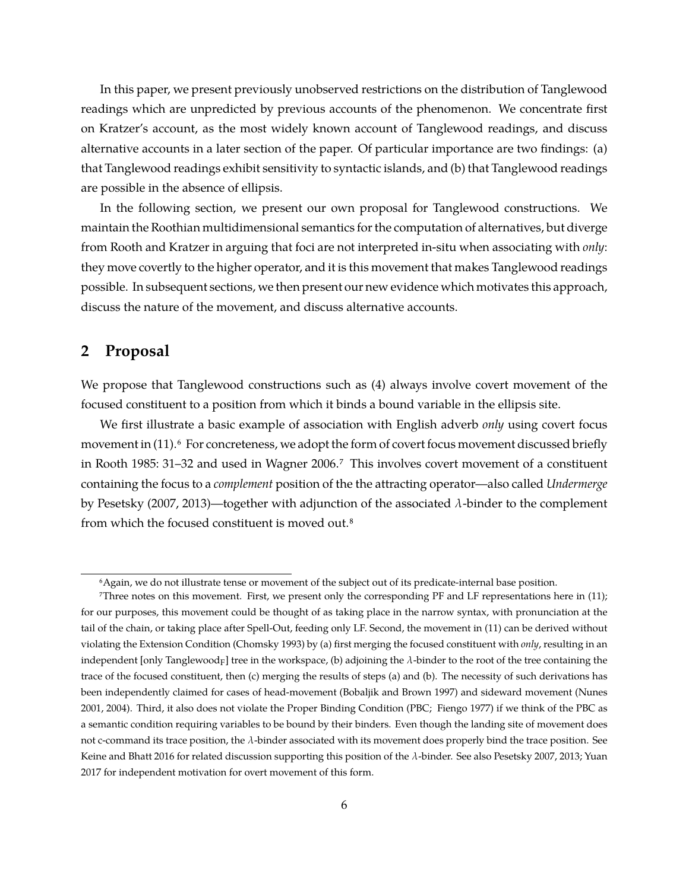In this paper, we present previously unobserved restrictions on the distribution of Tanglewood readings which are unpredicted by previous accounts of the phenomenon. We concentrate first on Kratzer's account, as the most widely known account of Tanglewood readings, and discuss alternative accounts in a later section of the paper. Of particular importance are two findings: (a) that Tanglewood readings exhibit sensitivity to syntactic islands, and (b) that Tanglewood readings are possible in the absence of ellipsis.

In the following section, we present our own proposal for Tanglewood constructions. We maintain the Roothian multidimensional semantics for the computation of alternatives, but diverge from Rooth and Kratzer in arguing that foci are not interpreted in-situ when associating with *only*: they move covertly to the higher operator, and it is this movement that makes Tanglewood readings possible. In subsequent sections, we then present our new evidence which motivates this approach, discuss the nature of the movement, and discuss alternative accounts.

# **2 Proposal**

We propose that Tanglewood constructions such as (4) always involve covert movement of the focused constituent to a position from which it binds a bound variable in the ellipsis site.

We first illustrate a basic example of association with English adverb *only* using covert focus movement in (11).<sup>6</sup> For concreteness, we adopt the form of covert focus movement discussed briefly in Rooth 1985: 31–32 and used in Wagner 2006.7 This involves covert movement of a constituent containing the focus to a *complement* position of the the attracting operator—also called *Undermerge* by Pesetsky (2007, 2013)—together with adjunction of the associated  $\lambda$ -binder to the complement from which the focused constituent is moved out.8

<sup>6</sup>Again, we do not illustrate tense or movement of the subject out of its predicate-internal base position.

<sup>7</sup>Three notes on this movement. First, we present only the corresponding PF and LF representations here in (11); for our purposes, this movement could be thought of as taking place in the narrow syntax, with pronunciation at the tail of the chain, or taking place after Spell-Out, feeding only LF. Second, the movement in (11) can be derived without violating the Extension Condition (Chomsky 1993) by (a) first merging the focused constituent with *only*, resulting in an independent [only Tanglewood<sub>F</sub>] tree in the workspace, (b) adjoining the  $\lambda$ -binder to the root of the tree containing the trace of the focused constituent, then (c) merging the results of steps (a) and (b). The necessity of such derivations has been independently claimed for cases of head-movement (Bobaljik and Brown 1997) and sideward movement (Nunes 2001, 2004). Third, it also does not violate the Proper Binding Condition (PBC; Fiengo 1977) if we think of the PBC as a semantic condition requiring variables to be bound by their binders. Even though the landing site of movement does not c-command its trace position, the  $\lambda$ -binder associated with its movement does properly bind the trace position. See Keine and Bhatt 2016 for related discussion supporting this position of the  $\lambda$ -binder. See also Pesetsky 2007, 2013; Yuan 2017 for independent motivation for overt movement of this form.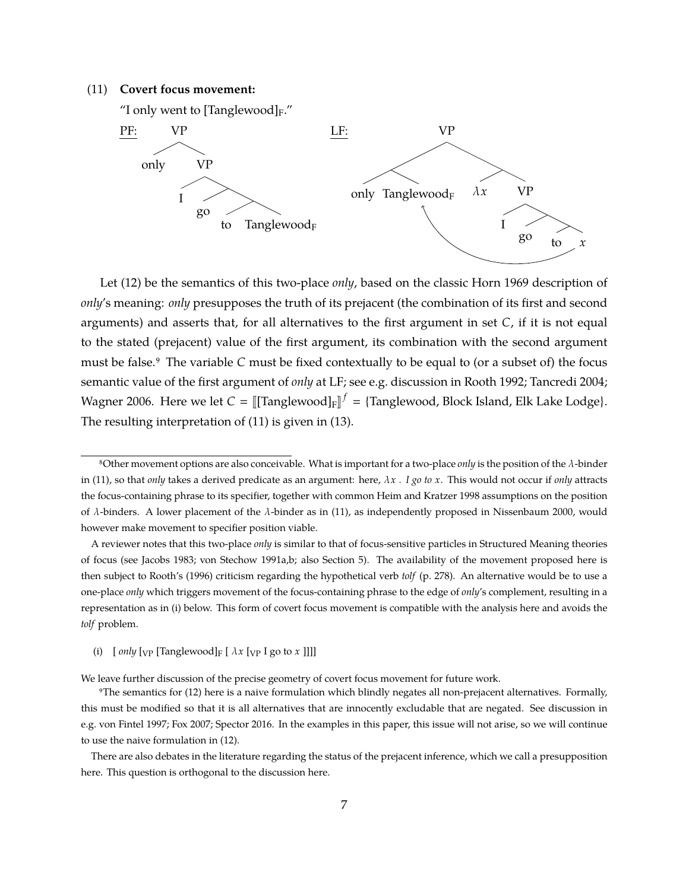### (11) **Covert focus movement:**

"I only went to [Tanglewood] $_F$ ."



Let (12) be the semantics of this two-place *only*, based on the classic Horn 1969 description of *only*'s meaning: *only* presupposes the truth of its prejacent (the combination of its first and second arguments) and asserts that, for all alternatives to the first argument in set *C*, if it is not equal to the stated (prejacent) value of the first argument, its combination with the second argument must be false.9 The variable *C* must be fixed contextually to be equal to (or a subset of) the focus semantic value of the first argument of *only* at LF; see e.g. discussion in Rooth 1992; Tancredi 2004; Wagner 2006. Here we let  $C = [[Tanglewood]_F]^{f} = {Tanglewood}$ , Block Island, Elk Lake Lodge}. The resulting interpretation of (11) is given in (13).

(i)  $[ only [VP [Tanglewood]F [ \lambda x [VP I go to x ]]]]$ 

We leave further discussion of the precise geometry of covert focus movement for future work.

<sup>8</sup>Other movement options are also conceivable. What is important for a two-place *only* is the position of the λ-binder in (11), so that *only* takes a derived predicate as an argument: here, λ*x . I go to x*. This would not occur if *only* attracts the focus-containing phrase to its specifier, together with common Heim and Kratzer 1998 assumptions on the position of λ-binders. A lower placement of the λ-binder as in (11), as independently proposed in Nissenbaum 2000, would however make movement to specifier position viable.

A reviewer notes that this two-place *only* is similar to that of focus-sensitive particles in Structured Meaning theories of focus (see Jacobs 1983; von Stechow 1991a,b; also Section 5). The availability of the movement proposed here is then subject to Rooth's (1996) criticism regarding the hypothetical verb *tolf* (p. 278). An alternative would be to use a one-place *only* which triggers movement of the focus-containing phrase to the edge of *only*'s complement, resulting in a representation as in (i) below. This form of covert focus movement is compatible with the analysis here and avoids the *tolf* problem.

<sup>9</sup>The semantics for (12) here is a naive formulation which blindly negates all non-prejacent alternatives. Formally, this must be modified so that it is all alternatives that are innocently excludable that are negated. See discussion in e.g. von Fintel 1997; Fox 2007; Spector 2016. In the examples in this paper, this issue will not arise, so we will continue to use the naive formulation in (12).

There are also debates in the literature regarding the status of the prejacent inference, which we call a presupposition here. This question is orthogonal to the discussion here.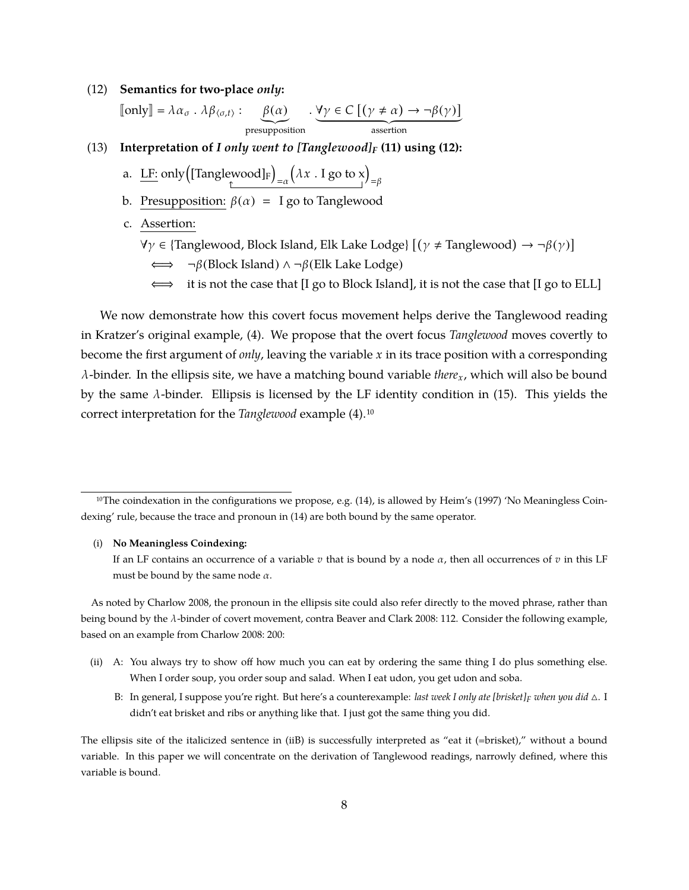#### (12) **Semantics for two-place** *only***:**

$$
[\![\text{only}]\!] = \lambda \alpha_{\sigma} \cdot \lambda \beta_{\langle \sigma, t \rangle} : \underbrace{\beta(\alpha)}_{\text{presupposition}} \cdot \underbrace{\forall \gamma \in C \; [(\gamma \neq \alpha) \to \neg \beta(\gamma)]}_{\text{assertion}}
$$

- (13) **Interpretation of** *I only went to [Tanglewood]<sup>F</sup>* **(11) using (12):**
	- a.  $L$  E: only  $\left(\rm{[Tanglewood]_F}\right)$  $=\alpha$  $(\lambda x \cdot I \text{ go to } x)_{=\beta}$
	- b. Presupposition:  $\beta(\alpha) = I$  go to Tanglewood
	- c. Assertion:
		- $\forall \gamma \in$  {Tanglewood, Block Island, Elk Lake Lodge}  $[(\gamma \neq \text{Tanglewood}) \rightarrow \neg \beta(\gamma)]$ 
			- ⇐⇒ ¬β(Block Island) ∧ ¬β(Elk Lake Lodge)
			- $\iff$  it is not the case that [I go to Block Island], it is not the case that [I go to ELL]

We now demonstrate how this covert focus movement helps derive the Tanglewood reading in Kratzer's original example, (4). We propose that the overt focus *Tanglewood* moves covertly to become the first argument of *only*, leaving the variable *x* in its trace position with a corresponding λ-binder. In the ellipsis site, we have a matching bound variable *therex*, which will also be bound by the same  $\lambda$ -binder. Ellipsis is licensed by the LF identity condition in (15). This yields the correct interpretation for the *Tanglewood* example (4).10

#### (i) **No Meaningless Coindexing:**

If an LF contains an occurrence of a variable  $v$  that is bound by a node  $\alpha$ , then all occurrences of  $v$  in this LF must be bound by the same node  $\alpha$ .

As noted by Charlow 2008, the pronoun in the ellipsis site could also refer directly to the moved phrase, rather than being bound by the λ-binder of covert movement, contra Beaver and Clark 2008: 112. Consider the following example, based on an example from Charlow 2008: 200:

- (ii) A: You always try to show off how much you can eat by ordering the same thing I do plus something else. When I order soup, you order soup and salad. When I eat udon, you get udon and soba.
	- B: In general, I suppose you're right. But here's a counterexample: *last week I only ate [brisket]<sub>F</sub> when you did*  $\triangle$ . I didn't eat brisket and ribs or anything like that. I just got the same thing you did.

The ellipsis site of the italicized sentence in (iiB) is successfully interpreted as "eat it (=brisket)," without a bound variable. In this paper we will concentrate on the derivation of Tanglewood readings, narrowly defined, where this variable is bound.

<sup>&</sup>lt;sup>10</sup>The coindexation in the configurations we propose, e.g. (14), is allowed by Heim's (1997) 'No Meaningless Coindexing' rule, because the trace and pronoun in (14) are both bound by the same operator.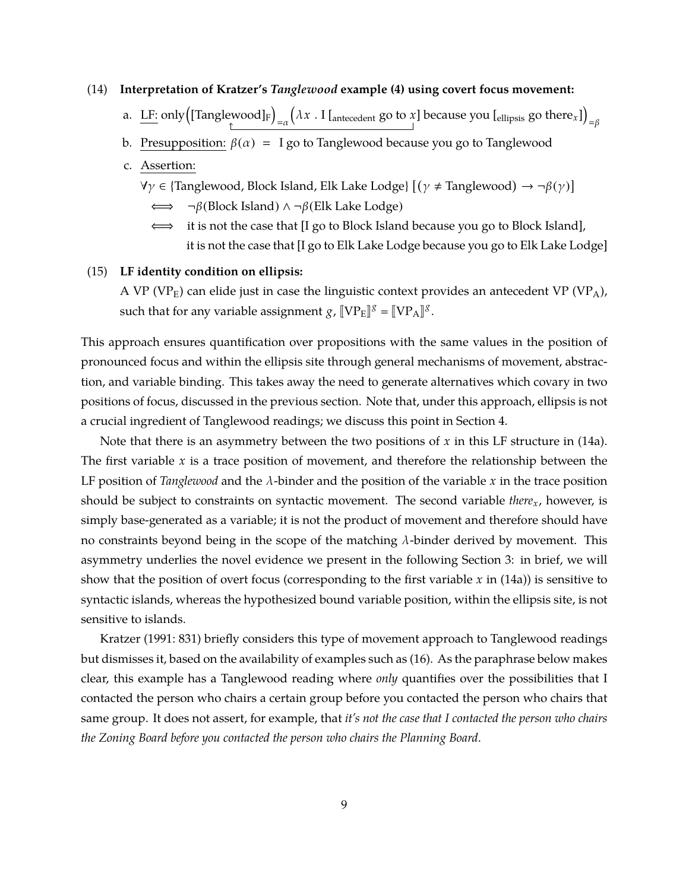## (14) **Interpretation of Kratzer's** *Tanglewood* **example (4) using covert focus movement:**

- a.  $\underline{\textrm{LF}}$ : only $\left(\textrm{Tanglewood}\right]_\mathrm{F}\right)$  $=\alpha$  $\big(\lambda x$  . I [<sub>antecedent</sub> go to *x*] because you [<sub>ellipsis</sub> go there<sub>*x*</sub>])</sub>  $=\beta$
- b. Presupposition:  $\beta(\alpha) = I$  go to Tanglewood because you go to Tanglewood
- c. Assertion:
	- $\forall \gamma \in$  {Tanglewood, Block Island, Elk Lake Lodge}  $[(\gamma \neq$  Tanglewood) → ¬β( $\gamma$ )]
		- ⇐⇒ ¬β(Block Island) ∧ ¬β(Elk Lake Lodge)
		- ⇐⇒ it is not the case that [I go to Block Island because you go to Block Island], it is not the case that [I go to Elk Lake Lodge because you go to Elk Lake Lodge]

## (15) **LF identity condition on ellipsis:**

A VP (VP<sub>E</sub>) can elide just in case the linguistic context provides an antecedent VP (VP<sub>A</sub>), such that for any variable assignment  $g$ ,  $[\![VP_E]\!]$ <sup> $g$ </sup> =  $[\![VP_A]\!]$ <sup>g</sup>.

This approach ensures quantification over propositions with the same values in the position of pronounced focus and within the ellipsis site through general mechanisms of movement, abstraction, and variable binding. This takes away the need to generate alternatives which covary in two positions of focus, discussed in the previous section. Note that, under this approach, ellipsis is not a crucial ingredient of Tanglewood readings; we discuss this point in Section 4.

Note that there is an asymmetry between the two positions of *x* in this LF structure in (14a). The first variable *x* is a trace position of movement, and therefore the relationship between the LF position of *Tanglewood* and the λ-binder and the position of the variable *x* in the trace position should be subject to constraints on syntactic movement. The second variable *therex*, however, is simply base-generated as a variable; it is not the product of movement and therefore should have no constraints beyond being in the scope of the matching  $\lambda$ -binder derived by movement. This asymmetry underlies the novel evidence we present in the following Section 3: in brief, we will show that the position of overt focus (corresponding to the first variable *x* in (14a)) is sensitive to syntactic islands, whereas the hypothesized bound variable position, within the ellipsis site, is not sensitive to islands.

Kratzer (1991: 831) briefly considers this type of movement approach to Tanglewood readings but dismisses it, based on the availability of examples such as (16). As the paraphrase below makes clear, this example has a Tanglewood reading where *only* quantifies over the possibilities that I contacted the person who chairs a certain group before you contacted the person who chairs that same group. It does not assert, for example, that *it's not the case that I contacted the person who chairs the Zoning Board before you contacted the person who chairs the Planning Board*.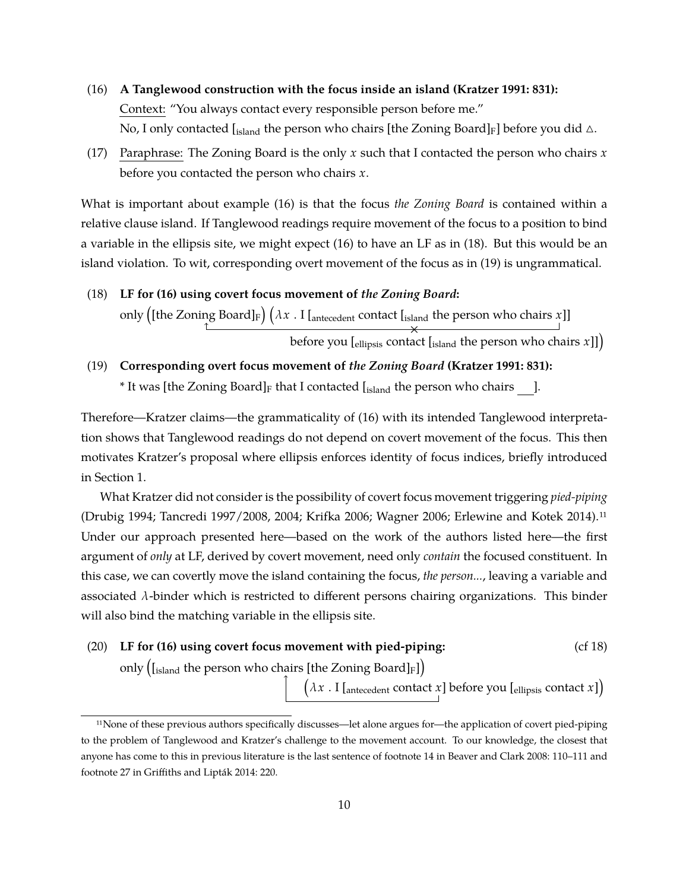- (16) **A Tanglewood construction with the focus inside an island (Kratzer 1991: 831):** Context: "You always contact every responsible person before me." No, I only contacted [ $_{island}$  the person who chairs [the Zoning Board] $_F$ ] before you did  $\triangle$ .
- (17) Paraphrase: The Zoning Board is the only *x* such that I contacted the person who chairs *x* before you contacted the person who chairs *x*.

What is important about example (16) is that the focus *the Zoning Board* is contained within a relative clause island. If Tanglewood readings require movement of the focus to a position to bind a variable in the ellipsis site, we might expect (16) to have an LF as in (18). But this would be an island violation. To wit, corresponding overt movement of the focus as in (19) is ungrammatical.

(18) **LF for (16) using covert focus movement of** *the Zoning Board***:** only ([the Zoning Board]<sub>F</sub>)  $(\lambda x$  . I [<sub>antecedent</sub> contact [<sub>island</sub> the person who chairs *x*]]

**before you [ellipsis contact [island the person who chairs** *x***]])** 

(19) **Corresponding overt focus movement of** *the Zoning Board* **(Kratzer 1991: 831):**

\* It was [the Zoning Board] $_F$  that I contacted  $\left[ \frac{1}{15} \right]$  [sland the person who chairs ].

Therefore—Kratzer claims—the grammaticality of (16) with its intended Tanglewood interpretation shows that Tanglewood readings do not depend on covert movement of the focus. This then motivates Kratzer's proposal where ellipsis enforces identity of focus indices, briefly introduced in Section 1.

What Kratzer did not consider is the possibility of covert focus movement triggering *pied-piping* (Drubig 1994; Tancredi 1997/2008, 2004; Krifka 2006; Wagner 2006; Erlewine and Kotek 2014).11 Under our approach presented here—based on the work of the authors listed here—the first argument of *only* at LF, derived by covert movement, need only *contain* the focused constituent. In this case, we can covertly move the island containing the focus, *the person...*, leaving a variable and associated  $\lambda$ -binder which is restricted to different persons chairing organizations. This binder will also bind the matching variable in the ellipsis site.

(20) **LF for (16) using covert focus movement with pied-piping:** (cf 18)

only  $\left ( _{\rm Island} \right .$  the person who chairs [the Zoning Board] $_{\rm F}$ ])

 $\big(\lambda \overline{x}$  . I [<sub>antecedent</sub> contact  $x$ ] before you [ $_{\text{ellipsis}}$  contact  $x$ ])

<sup>11</sup>None of these previous authors specifically discusses—let alone argues for—the application of covert pied-piping to the problem of Tanglewood and Kratzer's challenge to the movement account. To our knowledge, the closest that anyone has come to this in previous literature is the last sentence of footnote 14 in Beaver and Clark 2008: 110–111 and footnote 27 in Griffiths and Lipták 2014: 220.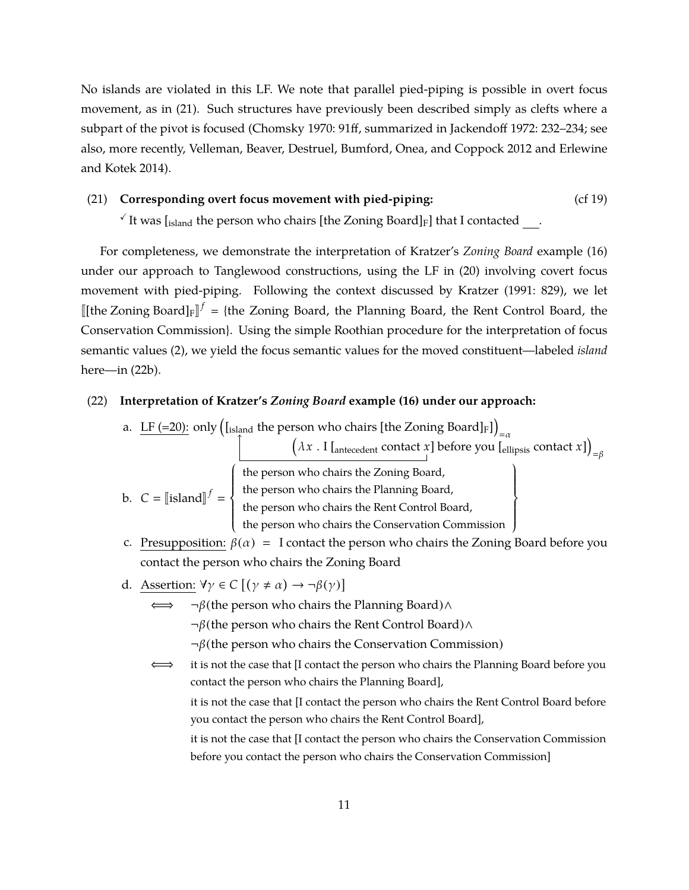No islands are violated in this LF. We note that parallel pied-piping is possible in overt focus movement, as in (21). Such structures have previously been described simply as clefts where a subpart of the pivot is focused (Chomsky 1970: 91ff, summarized in Jackendoff 1972: 232–234; see also, more recently, Velleman, Beaver, Destruel, Bumford, Onea, and Coppock 2012 and Erlewine and Kotek 2014).

## (21) **Corresponding overt focus movement with pied-piping:** (cf 19)

 $\sqrt{1}$  It was [island the person who chairs [the Zoning Board]<sub>F</sub>] that I contacted .

For completeness, we demonstrate the interpretation of Kratzer's *Zoning Board* example (16) under our approach to Tanglewood constructions, using the LF in (20) involving covert focus movement with pied-piping. Following the context discussed by Kratzer (1991: 829), we let  $[[$ the Zoning Board] $_F$  $]$ <sup> $f$ </sup> = {the Zoning Board, the Planning Board, the Rent Control Board, the Conservation Commission}. Using the simple Roothian procedure for the interpretation of focus semantic values (2), we yield the focus semantic values for the moved constituent—labeled *island* here—in (22b).

## (22) **Interpretation of Kratzer's** *Zoning Board* **example (16) under our approach:**

a.  $\overline{\rm LF}$  (=20): only  $\left(\rm I_{island}$  the person who chairs [the Zoning Board]F])

$$
(\lambda x \cdot I_{\text{Intercedent}} \text{ contact } x) \text{ before you } [\text{ellipsis} \text{ contact } x] \big)_{=\beta}
$$

b. 
$$
C = \llbracket \text{island} \rrbracket^f =
$$

the person who chairs the Zoning Board, the person who chairs the Planning Board, the person who chairs the Rent Control Board, the person who chairs the Conservation Commission  $\begin{array}{c} \hline \end{array}$  $\mathfrak{t}$  $\Bigg\}$ J

- c. Presupposition:  $\beta(\alpha) = I$  contact the person who chairs the Zoning Board before you contact the person who chairs the Zoning Board
- d. Assertion:  $\forall \gamma \in C \left[ (\gamma \neq \alpha) \rightarrow \neg \beta(\gamma) \right]$

 $\begin{bmatrix} \phantom{-} \end{bmatrix}$ J  $\Big\}$  $\overline{\mathcal{L}}$ 

 $¬β$ (the person who chairs the Planning Board)∧

¬β(the person who chairs the Rent Control Board)∧

- ¬β(the person who chairs the Conservation Commission)
- ⇐⇒ it is not the case that [I contact the person who chairs the Planning Board before you contact the person who chairs the Planning Board], it is not the case that [I contact the person who chairs the Rent Control Board before you contact the person who chairs the Rent Control Board], it is not the case that [I contact the person who chairs the Conservation Commission

before you contact the person who chairs the Conservation Commission]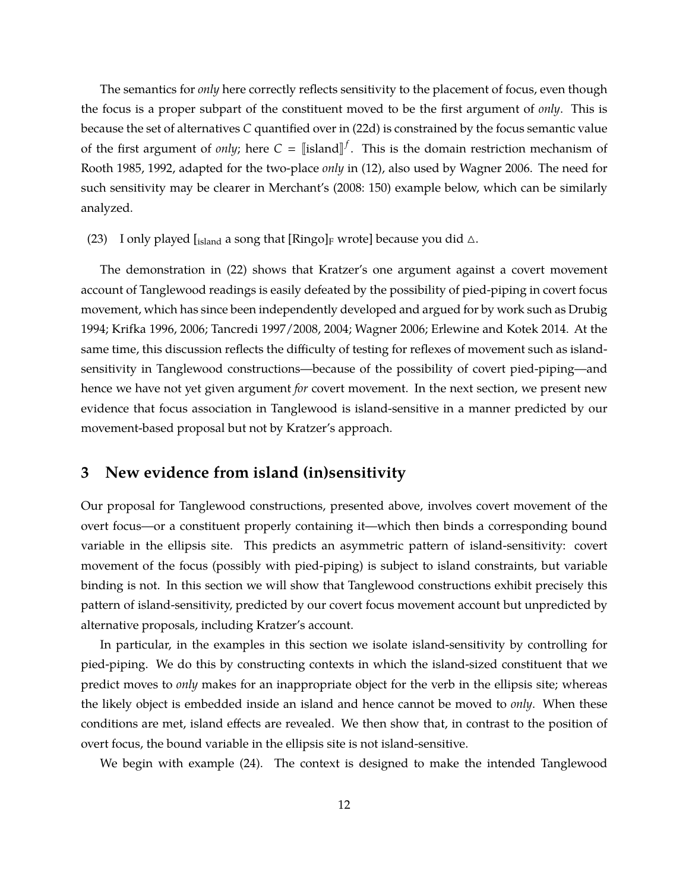The semantics for *only* here correctly reflects sensitivity to the placement of focus, even though the focus is a proper subpart of the constituent moved to be the first argument of *only*. This is because the set of alternatives *C* quantified over in (22d) is constrained by the focus semantic value of the first argument of *only*; here  $C = [[\text{island}]^f]$ . This is the domain restriction mechanism of Rooth 1985, 1992, adapted for the two-place *only* in (12), also used by Wagner 2006. The need for such sensitivity may be clearer in Merchant's (2008: 150) example below, which can be similarly analyzed.

(23) I only played [island a song that [Ringo]<sub>F</sub> wrote] because you did  $\triangle$ .

The demonstration in (22) shows that Kratzer's one argument against a covert movement account of Tanglewood readings is easily defeated by the possibility of pied-piping in covert focus movement, which has since been independently developed and argued for by work such as Drubig 1994; Krifka 1996, 2006; Tancredi 1997/2008, 2004; Wagner 2006; Erlewine and Kotek 2014. At the same time, this discussion reflects the difficulty of testing for reflexes of movement such as islandsensitivity in Tanglewood constructions—because of the possibility of covert pied-piping—and hence we have not yet given argument *for* covert movement. In the next section, we present new evidence that focus association in Tanglewood is island-sensitive in a manner predicted by our movement-based proposal but not by Kratzer's approach.

# **3 New evidence from island (in)sensitivity**

Our proposal for Tanglewood constructions, presented above, involves covert movement of the overt focus—or a constituent properly containing it—which then binds a corresponding bound variable in the ellipsis site. This predicts an asymmetric pattern of island-sensitivity: covert movement of the focus (possibly with pied-piping) is subject to island constraints, but variable binding is not. In this section we will show that Tanglewood constructions exhibit precisely this pattern of island-sensitivity, predicted by our covert focus movement account but unpredicted by alternative proposals, including Kratzer's account.

In particular, in the examples in this section we isolate island-sensitivity by controlling for pied-piping. We do this by constructing contexts in which the island-sized constituent that we predict moves to *only* makes for an inappropriate object for the verb in the ellipsis site; whereas the likely object is embedded inside an island and hence cannot be moved to *only*. When these conditions are met, island effects are revealed. We then show that, in contrast to the position of overt focus, the bound variable in the ellipsis site is not island-sensitive.

We begin with example (24). The context is designed to make the intended Tanglewood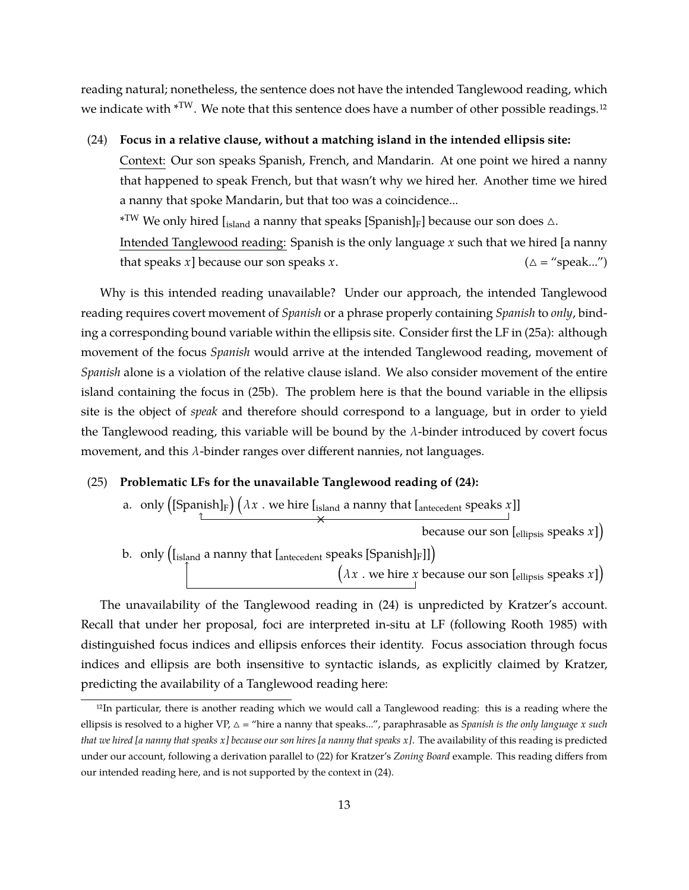reading natural; nonetheless, the sentence does not have the intended Tanglewood reading, which we indicate with  $*^{TW}$ . We note that this sentence does have a number of other possible readings.<sup>12</sup>

(24) **Focus in a relative clause, without a matching island in the intended ellipsis site:** Context: Our son speaks Spanish, French, and Mandarin. At one point we hired a nanny that happened to speak French, but that wasn't why we hired her. Another time we hired a nanny that spoke Mandarin, but that too was a coincidence...  $\ast^{\text{TW}}$  We only hired [<sub>island</sub> a nanny that speaks [Spanish]<sub>F</sub>] because our son does  $\vartriangle$ . Intended Tanglewood reading: Spanish is the only language *x* such that we hired [a nanny

that speaks *x*] because our son speaks *x*.  $(\Delta = \text{``speak...''})$ 

Why is this intended reading unavailable? Under our approach, the intended Tanglewood reading requires covert movement of *Spanish* or a phrase properly containing *Spanish* to *only*, binding a corresponding bound variable within the ellipsis site. Consider first the LF in (25a): although movement of the focus *Spanish* would arrive at the intended Tanglewood reading, movement of *Spanish* alone is a violation of the relative clause island. We also consider movement of the entire island containing the focus in (25b). The problem here is that the bound variable in the ellipsis site is the object of *speak* and therefore should correspond to a language, but in order to yield the Tanglewood reading, this variable will be bound by the  $\lambda$ -binder introduced by covert focus movement, and this  $\lambda$ -binder ranges over different nannies, not languages.

## (25) **Problematic LFs for the unavailable Tanglewood reading of (24):**

a.  $\,$  only  $\left(\mathrm{[Spanish]_F}\right)\left(\lambda\,x\,$  . we hire  $\mathrm{[_{island}}$  a nanny that  $\mathrm{[_{antecedent}}$  speaks  $x\mathrm{]}}$ x<br>
because our son [ellipsis speaks *x*]) b.  $\,$  only  $\left(\mathrm{[island] a} \text{ nanny that } \mathrm{[antecedent} \text{ speaks } [\text{Spanish}]_\text{F}]\right)$  $\big( \lambda x$  . we hire *x* because our son [ $_{\text{ellipsis}}$  speaks *x*])

The unavailability of the Tanglewood reading in (24) is unpredicted by Kratzer's account. Recall that under her proposal, foci are interpreted in-situ at LF (following Rooth 1985) with distinguished focus indices and ellipsis enforces their identity. Focus association through focus indices and ellipsis are both insensitive to syntactic islands, as explicitly claimed by Kratzer, predicting the availability of a Tanglewood reading here:

<sup>12</sup>In particular, there is another reading which we would call a Tanglewood reading: this is a reading where the ellipsis is resolved to a higher VP,  $\Delta$  = "hire a nanny that speaks...", paraphrasable as *Spanish is the only language*  $x$  *such that we hired [a nanny that speaks x] because our son hires [a nanny that speaks x]*. The availability of this reading is predicted under our account, following a derivation parallel to (22) for Kratzer's *Zoning Board* example. This reading differs from our intended reading here, and is not supported by the context in (24).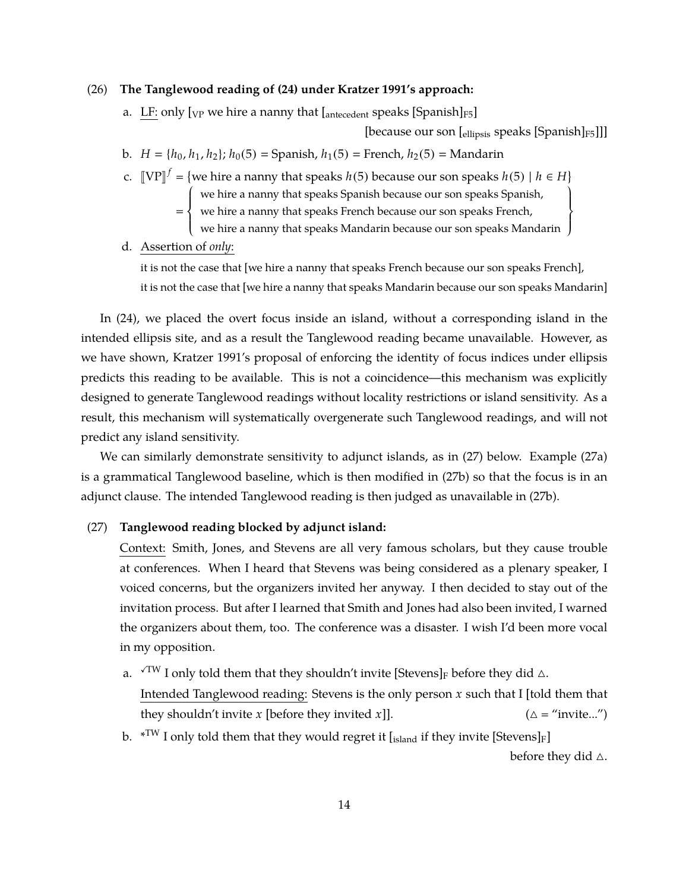## (26) **The Tanglewood reading of (24) under Kratzer 1991's approach:**

a. LF: only  $[VP]$  we hire a nanny that  $[{\rm antecedent}$  speaks  $[{\rm Spanish}]_{F5}]$ 

[because our son  $\left[\frac{1}{100}\right]$  [ $\left[\frac{1}{100}\right]$ ]] [ $\left[\frac{1}{100}\right]$ ]

 $\mathfrak{t}$  $\left\{ \right\}$ J

- b. *H* = { $h_0$ ,  $h_1$ ,  $h_2$ };  $h_0(5)$  = Spanish,  $h_1(5)$  = French,  $h_2(5)$  = Mandarin
- *f* c.  $[VP]^f = \{$ we hire a nanny that speaks *h*(5) because our son speaks *h*(5) | *h*  $\in$  *H*}  $\overline{\mathcal{L}}$ 
	- we hire a nanny that speaks Spanish because our son speaks Spanish,
	- $=\left\{\right.$ we hire a nanny that speaks French because our son speaks French,
		- $\overline{a}$ we hire a nanny that speaks Mandarin because our son speaks Mandarin
- d. Assertion of *only*:

it is not the case that [we hire a nanny that speaks French because our son speaks French], it is not the case that [we hire a nanny that speaks Mandarin because our son speaks Mandarin]

In (24), we placed the overt focus inside an island, without a corresponding island in the intended ellipsis site, and as a result the Tanglewood reading became unavailable. However, as we have shown, Kratzer 1991's proposal of enforcing the identity of focus indices under ellipsis predicts this reading to be available. This is not a coincidence—this mechanism was explicitly designed to generate Tanglewood readings without locality restrictions or island sensitivity. As a result, this mechanism will systematically overgenerate such Tanglewood readings, and will not predict any island sensitivity.

We can similarly demonstrate sensitivity to adjunct islands, as in (27) below. Example (27a) is a grammatical Tanglewood baseline, which is then modified in (27b) so that the focus is in an adjunct clause. The intended Tanglewood reading is then judged as unavailable in (27b).

### (27) **Tanglewood reading blocked by adjunct island:**

Context: Smith, Jones, and Stevens are all very famous scholars, but they cause trouble at conferences. When I heard that Stevens was being considered as a plenary speaker, I voiced concerns, but the organizers invited her anyway. I then decided to stay out of the invitation process. But after I learned that Smith and Jones had also been invited, I warned the organizers about them, too. The conference was a disaster. I wish I'd been more vocal in my opposition.

- a.  $\sqrt{TW}$  I only told them that they shouldn't invite [Stevens]<sub>F</sub> before they did  $\triangle$ . Intended Tanglewood reading: Stevens is the only person *x* such that I [told them that they shouldn't invite *x* [before they invited *x*]].  $(\Delta =$  "invite...")
- b.  $\rm \,$  \*T<sup>W</sup> I only told them that they would regret it [ $_{\rm island}$  if they invite [Stevens] $_{\rm F}$ ]

before they did  $\triangle$ .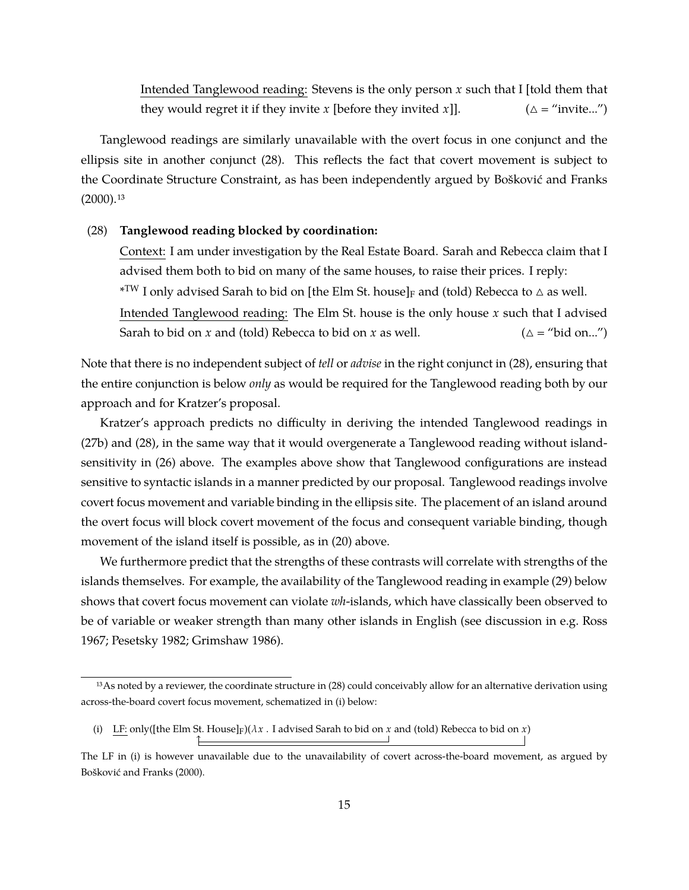Intended Tanglewood reading: Stevens is the only person *x* such that I [told them that they would regret it if they invite *x* [before they invited *x*]].  $(\triangle =$  "invite...")

Tanglewood readings are similarly unavailable with the overt focus in one conjunct and the ellipsis site in another conjunct (28). This reflects the fact that covert movement is subject to the Coordinate Structure Constraint, as has been independently argued by Bošković and Franks  $(2000).$ <sup>13</sup>

#### (28) **Tanglewood reading blocked by coordination:**

Context: I am under investigation by the Real Estate Board. Sarah and Rebecca claim that I advised them both to bid on many of the same houses, to raise their prices. I reply:  $\rm{*TW}$  I only advised Sarah to bid on [the Elm St. house] $_{\rm{F}}$  and (told) Rebecca to  $\vartriangle$  as well. Intended Tanglewood reading: The Elm St. house is the only house *x* such that I advised Sarah to bid on *x* and (told) Rebecca to bid on *x* as well.  $(\Delta = \text{``bid on...''})$ 

Note that there is no independent subject of *tell* or *advise* in the right conjunct in (28), ensuring that the entire conjunction is below *only* as would be required for the Tanglewood reading both by our approach and for Kratzer's proposal.

Kratzer's approach predicts no difficulty in deriving the intended Tanglewood readings in (27b) and (28), in the same way that it would overgenerate a Tanglewood reading without islandsensitivity in (26) above. The examples above show that Tanglewood configurations are instead sensitive to syntactic islands in a manner predicted by our proposal. Tanglewood readings involve covert focus movement and variable binding in the ellipsis site. The placement of an island around the overt focus will block covert movement of the focus and consequent variable binding, though movement of the island itself is possible, as in (20) above.

We furthermore predict that the strengths of these contrasts will correlate with strengths of the islands themselves. For example, the availability of the Tanglewood reading in example (29) below shows that covert focus movement can violate *wh*-islands, which have classically been observed to be of variable or weaker strength than many other islands in English (see discussion in e.g. Ross 1967; Pesetsky 1982; Grimshaw 1986).

<sup>13</sup> As noted by a reviewer, the coordinate structure in (28) could conceivably allow for an alternative derivation using across-the-board covert focus movement, schematized in (i) below:

<sup>(</sup>i) LF: only([the Elm St. House] $F(x)$  . I advised Sarah to bid on *x* and (told) Rebecca to bid on *x*)

The LF in (i) is however unavailable due to the unavailability of covert across-the-board movement, as argued by Bošković and Franks (2000).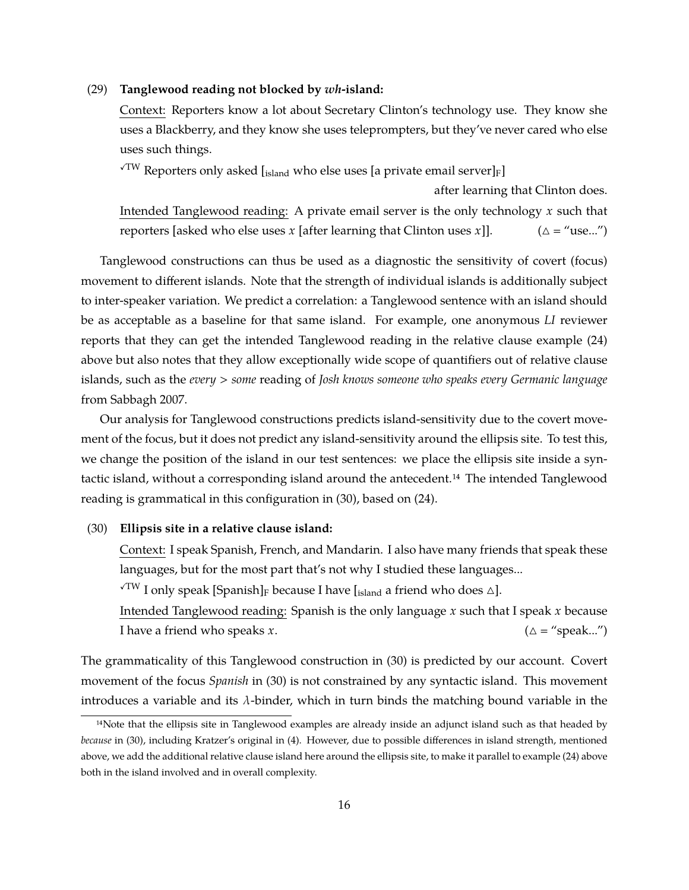#### (29) **Tanglewood reading not blocked by** *wh***-island:**

Context: Reporters know a lot about Secretary Clinton's technology use. They know she uses a Blackberry, and they know she uses teleprompters, but they've never cared who else uses such things.

 $\sqrt{TW}$  Reporters only asked [island who else uses [a private email server]<sub>F</sub>]

Intended Tanglewood reading: A private email server is the only technology *x* such that reporters [asked who else uses *x* [after learning that Clinton uses *x*]].  $(\triangle = "use...")$ 

after learning that Clinton does.

Tanglewood constructions can thus be used as a diagnostic the sensitivity of covert (focus) movement to different islands. Note that the strength of individual islands is additionally subject to inter-speaker variation. We predict a correlation: a Tanglewood sentence with an island should be as acceptable as a baseline for that same island. For example, one anonymous *LI* reviewer reports that they can get the intended Tanglewood reading in the relative clause example (24) above but also notes that they allow exceptionally wide scope of quantifiers out of relative clause islands, such as the *every* > *some* reading of *Josh knows someone who speaks every Germanic language* from Sabbagh 2007.

Our analysis for Tanglewood constructions predicts island-sensitivity due to the covert movement of the focus, but it does not predict any island-sensitivity around the ellipsis site. To test this, we change the position of the island in our test sentences: we place the ellipsis site inside a syntactic island, without a corresponding island around the antecedent.14 The intended Tanglewood reading is grammatical in this configuration in (30), based on (24).

### (30) **Ellipsis site in a relative clause island:**

Context: I speak Spanish, French, and Mandarin. I also have many friends that speak these languages, but for the most part that's not why I studied these languages...

 $\sqrt{TW}$  I only speak [Spanish]<sub>F</sub> because I have [<sub>island</sub> a friend who does  $\triangle$ ].

Intended Tanglewood reading: Spanish is the only language *x* such that I speak *x* because I have a friend who speaks  $x$ .  $(\Delta = \text{``speak...''})$ 

The grammaticality of this Tanglewood construction in (30) is predicted by our account. Covert movement of the focus *Spanish* in (30) is not constrained by any syntactic island. This movement introduces a variable and its  $\lambda$ -binder, which in turn binds the matching bound variable in the

<sup>&</sup>lt;sup>14</sup>Note that the ellipsis site in Tanglewood examples are already inside an adjunct island such as that headed by *because* in (30), including Kratzer's original in (4). However, due to possible differences in island strength, mentioned above, we add the additional relative clause island here around the ellipsis site, to make it parallel to example (24) above both in the island involved and in overall complexity.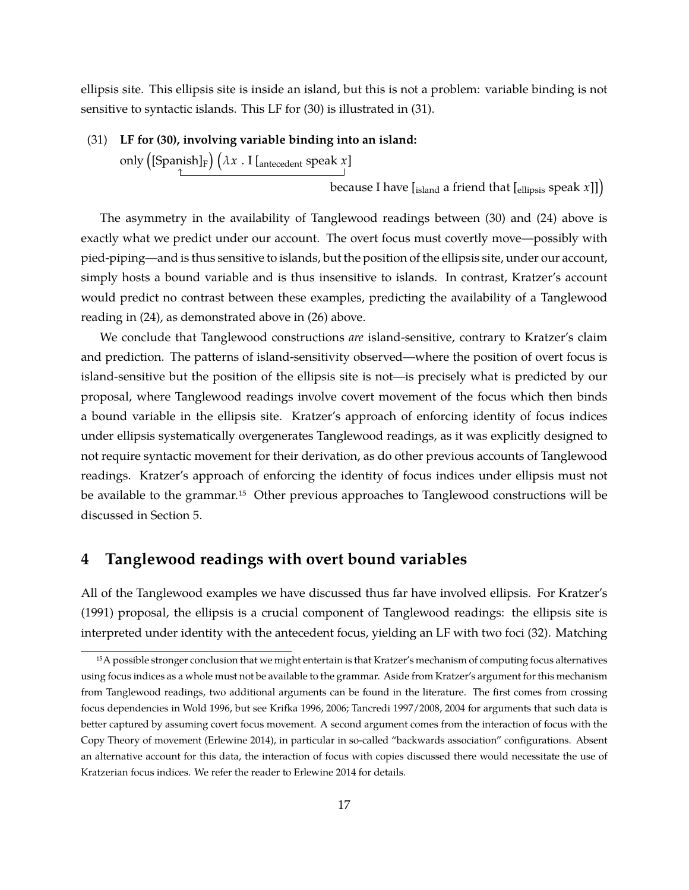ellipsis site. This ellipsis site is inside an island, but this is not a problem: variable binding is not sensitive to syntactic islands. This LF for (30) is illustrated in (31).

#### (31) **LF for (30), involving variable binding into an island:**

only  $\left(\left[\mathsf{Spanish}\right]_{\mathrm{F}}\right)\left(\lambda x\;.\; \mathrm{I}\left[\right. \right]_{\mathrm{antecedent}}$  speak  $x\right]$ 

because I have [<sub>island</sub> a friend that [<sub>ellipsis</sub> speak *x*]])

The asymmetry in the availability of Tanglewood readings between (30) and (24) above is exactly what we predict under our account. The overt focus must covertly move—possibly with pied-piping—and is thus sensitive to islands, but the position of the ellipsis site, under our account, simply hosts a bound variable and is thus insensitive to islands. In contrast, Kratzer's account would predict no contrast between these examples, predicting the availability of a Tanglewood reading in (24), as demonstrated above in (26) above.

We conclude that Tanglewood constructions *are* island-sensitive, contrary to Kratzer's claim and prediction. The patterns of island-sensitivity observed—where the position of overt focus is island-sensitive but the position of the ellipsis site is not—is precisely what is predicted by our proposal, where Tanglewood readings involve covert movement of the focus which then binds a bound variable in the ellipsis site. Kratzer's approach of enforcing identity of focus indices under ellipsis systematically overgenerates Tanglewood readings, as it was explicitly designed to not require syntactic movement for their derivation, as do other previous accounts of Tanglewood readings. Kratzer's approach of enforcing the identity of focus indices under ellipsis must not be available to the grammar.<sup>15</sup> Other previous approaches to Tanglewood constructions will be discussed in Section 5.

# **4 Tanglewood readings with overt bound variables**

All of the Tanglewood examples we have discussed thus far have involved ellipsis. For Kratzer's (1991) proposal, the ellipsis is a crucial component of Tanglewood readings: the ellipsis site is interpreted under identity with the antecedent focus, yielding an LF with two foci (32). Matching

<sup>15</sup>A possible stronger conclusion that we might entertain is that Kratzer's mechanism of computing focus alternatives using focus indices as a whole must not be available to the grammar. Aside from Kratzer's argument for this mechanism from Tanglewood readings, two additional arguments can be found in the literature. The first comes from crossing focus dependencies in Wold 1996, but see Krifka 1996, 2006; Tancredi 1997/2008, 2004 for arguments that such data is better captured by assuming covert focus movement. A second argument comes from the interaction of focus with the Copy Theory of movement (Erlewine 2014), in particular in so-called "backwards association" configurations. Absent an alternative account for this data, the interaction of focus with copies discussed there would necessitate the use of Kratzerian focus indices. We refer the reader to Erlewine 2014 for details.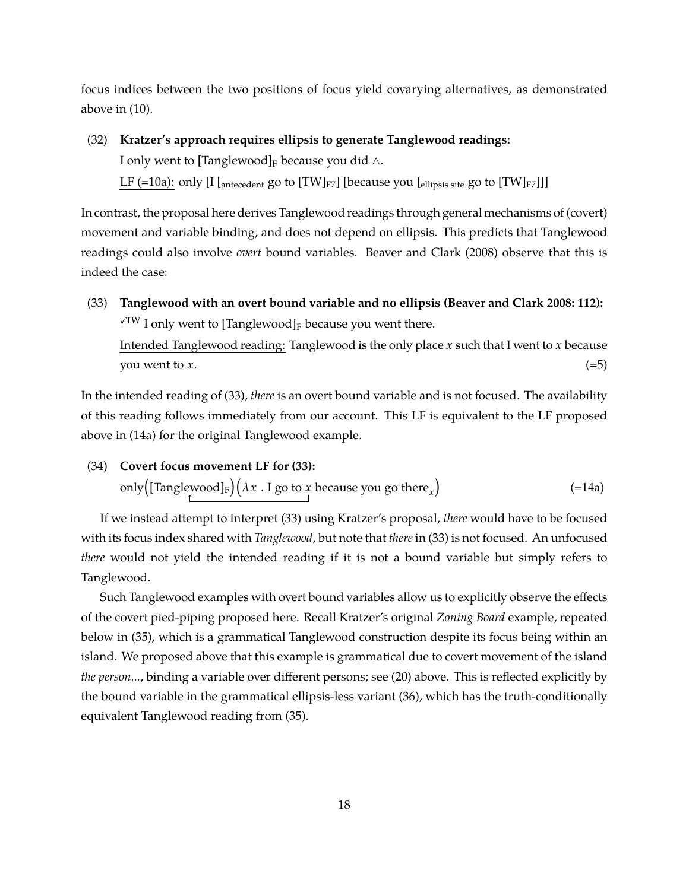focus indices between the two positions of focus yield covarying alternatives, as demonstrated above in (10).

(32) **Kratzer's approach requires ellipsis to generate Tanglewood readings:** I only went to [Tanglewood]<sub>F</sub> because you did  $\triangle$ . LF (=10a): only [I [<sub>antecedent</sub> go to [TW] $_{F7}$ ] [because you [<sub>ellipsis site</sub> go to [TW] $_{F7}$ ]]]

In contrast, the proposal here derives Tanglewood readings through general mechanisms of (covert) movement and variable binding, and does not depend on ellipsis. This predicts that Tanglewood readings could also involve *overt* bound variables. Beaver and Clark (2008) observe that this is indeed the case:

(33) **Tanglewood with an overt bound variable and no ellipsis (Beaver and Clark 2008: 112):**  $\sqrt{TW}$  I only went to [Tanglewood]<sub>F</sub> because you went there. Intended Tanglewood reading: Tanglewood is the only place *x* such that I went to *x* because you went to *x*.  $(=5)$ 

In the intended reading of (33), *there* is an overt bound variable and is not focused. The availability of this reading follows immediately from our account. This LF is equivalent to the LF proposed above in (14a) for the original Tanglewood example.

(34) **Covert focus movement LF for (33):** only $\left(\left[\text{Tangle} \text{wood}\right]_{\text{F}}\right)\left(\lambda x$  . I go to  $x$  because you go there $_{x}\right)$  $(=14a)$ 

If we instead attempt to interpret (33) using Kratzer's proposal, *there* would have to be focused with its focus index shared with *Tanglewood*, but note that *there* in (33) is not focused. An unfocused *there* would not yield the intended reading if it is not a bound variable but simply refers to Tanglewood.

Such Tanglewood examples with overt bound variables allow us to explicitly observe the effects of the covert pied-piping proposed here. Recall Kratzer's original *Zoning Board* example, repeated below in (35), which is a grammatical Tanglewood construction despite its focus being within an island. We proposed above that this example is grammatical due to covert movement of the island *the person...*, binding a variable over different persons; see (20) above. This is reflected explicitly by the bound variable in the grammatical ellipsis-less variant (36), which has the truth-conditionally equivalent Tanglewood reading from (35).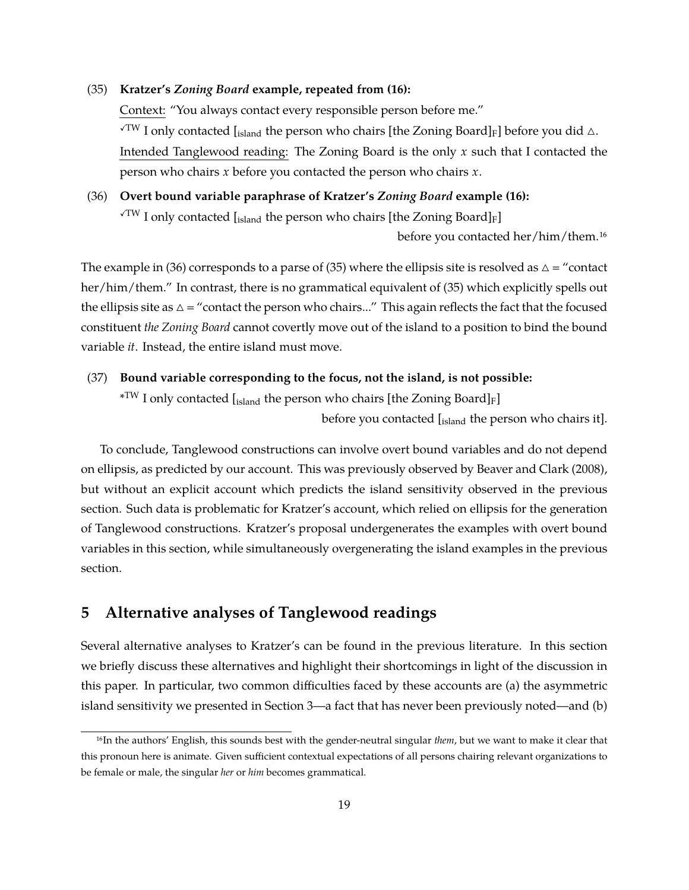### (35) **Kratzer's** *Zoning Board* **example, repeated from (16):**

Context: "You always contact every responsible person before me."  $\sqrt{TW}$  I only contacted [island the person who chairs [the Zoning Board]<sub>F</sub>] before you did  $\triangle$ . Intended Tanglewood reading: The Zoning Board is the only *x* such that I contacted the person who chairs *x* before you contacted the person who chairs *x*.

# (36) **Overt bound variable paraphrase of Kratzer's** *Zoning Board* **example (16):**  $\sqrt{TW}$  I only contacted [<sub>island</sub> the person who chairs [the Zoning Board]<sub>F</sub>]

before you contacted her/him/them.16

The example in (36) corresponds to a parse of (35) where the ellipsis site is resolved as  $\Delta =$  "contact" her/him/them." In contrast, there is no grammatical equivalent of (35) which explicitly spells out the ellipsis site as  $\Delta$  = "contact the person who chairs..." This again reflects the fact that the focused constituent *the Zoning Board* cannot covertly move out of the island to a position to bind the bound variable *it*. Instead, the entire island must move.

## (37) **Bound variable corresponding to the focus, not the island, is not possible:**

 $\rm{^{\ast}TW}$  I only contacted [ $\rm_{island}$  the person who chairs [the Zoning Board] $_{\rm F}$ ]

before you contacted [island the person who chairs it].

To conclude, Tanglewood constructions can involve overt bound variables and do not depend on ellipsis, as predicted by our account. This was previously observed by Beaver and Clark (2008), but without an explicit account which predicts the island sensitivity observed in the previous section. Such data is problematic for Kratzer's account, which relied on ellipsis for the generation of Tanglewood constructions. Kratzer's proposal undergenerates the examples with overt bound variables in this section, while simultaneously overgenerating the island examples in the previous section.

# **5 Alternative analyses of Tanglewood readings**

Several alternative analyses to Kratzer's can be found in the previous literature. In this section we briefly discuss these alternatives and highlight their shortcomings in light of the discussion in this paper. In particular, two common difficulties faced by these accounts are (a) the asymmetric island sensitivity we presented in Section 3—a fact that has never been previously noted—and (b)

<sup>16</sup>In the authors' English, this sounds best with the gender-neutral singular *them*, but we want to make it clear that this pronoun here is animate. Given sufficient contextual expectations of all persons chairing relevant organizations to be female or male, the singular *her* or *him* becomes grammatical.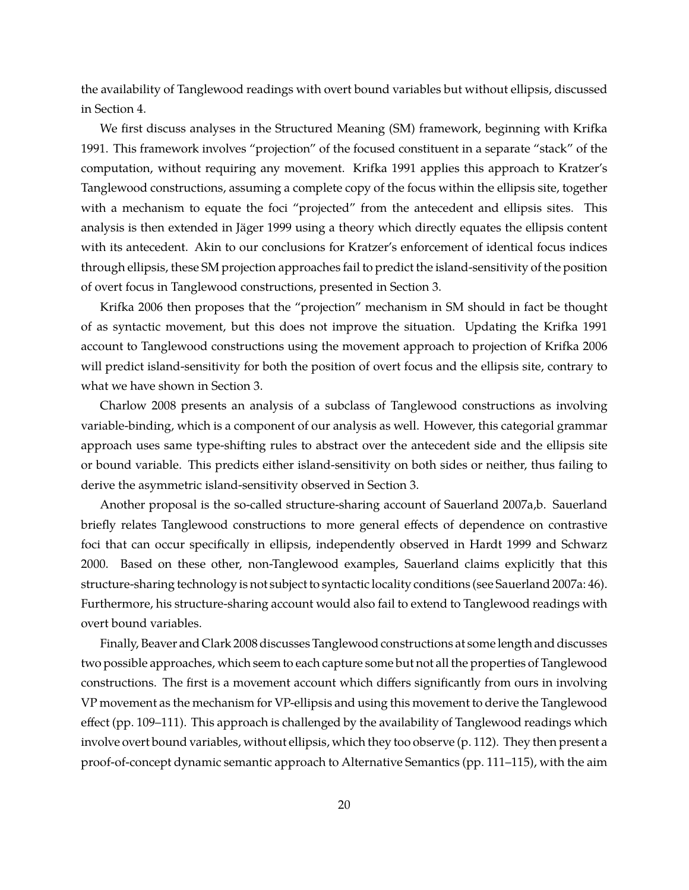the availability of Tanglewood readings with overt bound variables but without ellipsis, discussed in Section 4.

We first discuss analyses in the Structured Meaning (SM) framework, beginning with Krifka 1991. This framework involves "projection" of the focused constituent in a separate "stack" of the computation, without requiring any movement. Krifka 1991 applies this approach to Kratzer's Tanglewood constructions, assuming a complete copy of the focus within the ellipsis site, together with a mechanism to equate the foci "projected" from the antecedent and ellipsis sites. This analysis is then extended in Jäger 1999 using a theory which directly equates the ellipsis content with its antecedent. Akin to our conclusions for Kratzer's enforcement of identical focus indices through ellipsis, these SM projection approaches fail to predict the island-sensitivity of the position of overt focus in Tanglewood constructions, presented in Section 3.

Krifka 2006 then proposes that the "projection" mechanism in SM should in fact be thought of as syntactic movement, but this does not improve the situation. Updating the Krifka 1991 account to Tanglewood constructions using the movement approach to projection of Krifka 2006 will predict island-sensitivity for both the position of overt focus and the ellipsis site, contrary to what we have shown in Section 3.

Charlow 2008 presents an analysis of a subclass of Tanglewood constructions as involving variable-binding, which is a component of our analysis as well. However, this categorial grammar approach uses same type-shifting rules to abstract over the antecedent side and the ellipsis site or bound variable. This predicts either island-sensitivity on both sides or neither, thus failing to derive the asymmetric island-sensitivity observed in Section 3.

Another proposal is the so-called structure-sharing account of Sauerland 2007a,b. Sauerland briefly relates Tanglewood constructions to more general effects of dependence on contrastive foci that can occur specifically in ellipsis, independently observed in Hardt 1999 and Schwarz 2000. Based on these other, non-Tanglewood examples, Sauerland claims explicitly that this structure-sharing technology is not subject to syntactic locality conditions (see Sauerland 2007a: 46). Furthermore, his structure-sharing account would also fail to extend to Tanglewood readings with overt bound variables.

Finally, Beaver and Clark 2008 discusses Tanglewood constructions at some length and discusses two possible approaches, which seem to each capture some but not all the properties of Tanglewood constructions. The first is a movement account which differs significantly from ours in involving VP movement as the mechanism for VP-ellipsis and using this movement to derive the Tanglewood effect (pp. 109–111). This approach is challenged by the availability of Tanglewood readings which involve overt bound variables, without ellipsis, which they too observe (p. 112). They then present a proof-of-concept dynamic semantic approach to Alternative Semantics (pp. 111–115), with the aim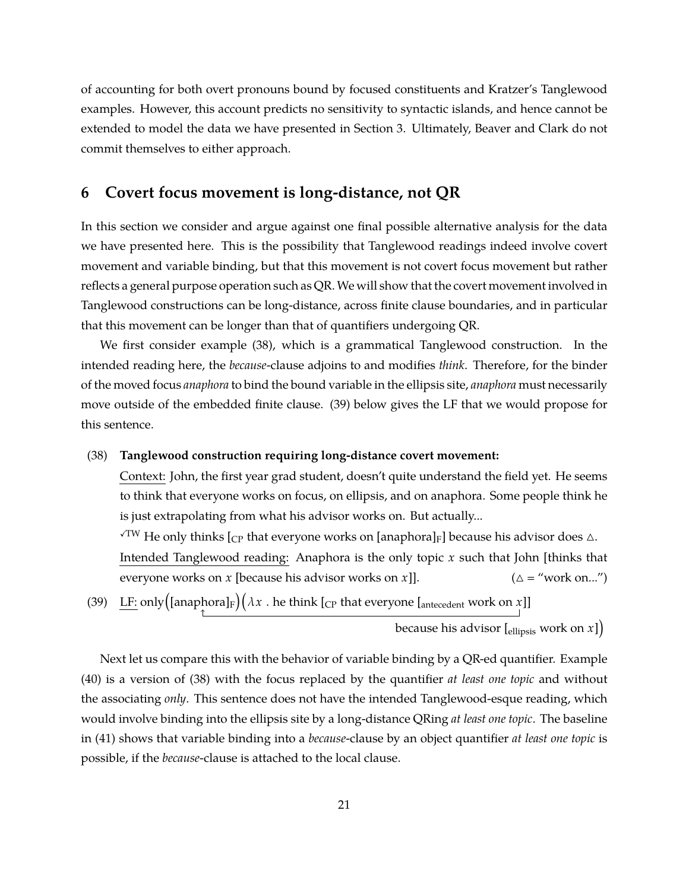of accounting for both overt pronouns bound by focused constituents and Kratzer's Tanglewood examples. However, this account predicts no sensitivity to syntactic islands, and hence cannot be extended to model the data we have presented in Section 3. Ultimately, Beaver and Clark do not commit themselves to either approach.

# **6 Covert focus movement is long-distance, not QR**

In this section we consider and argue against one final possible alternative analysis for the data we have presented here. This is the possibility that Tanglewood readings indeed involve covert movement and variable binding, but that this movement is not covert focus movement but rather reflects a general purpose operation such as QR. We will show that the covert movement involved in Tanglewood constructions can be long-distance, across finite clause boundaries, and in particular that this movement can be longer than that of quantifiers undergoing QR.

We first consider example (38), which is a grammatical Tanglewood construction. In the intended reading here, the *because*-clause adjoins to and modifies *think*. Therefore, for the binder of the moved focus *anaphora* to bind the bound variable in the ellipsis site, *anaphora* must necessarily move outside of the embedded finite clause. (39) below gives the LF that we would propose for this sentence.

### (38) **Tanglewood construction requiring long-distance covert movement:**

Context: John, the first year grad student, doesn't quite understand the field yet. He seems to think that everyone works on focus, on ellipsis, and on anaphora. Some people think he is just extrapolating from what his advisor works on. But actually...

 $\sqrt{\textsc{TW}}$  He only thinks [<sub>CP</sub> that everyone works on [anaphora]<sub>F</sub>] because his advisor does  $\triangle$ .

Intended Tanglewood reading: Anaphora is the only topic *x* such that John [thinks that everyone works on *x* [because his advisor works on *x*]].  $(\Delta = \text{``work on...''})$ 

(39) LF: only $\left($ [anaphora]<sub>F</sub> $\right)$  $(\lambda x$  . he think [<sub>CP</sub> that everyone [<sub>antecedent</sub> work on *x*]]

because his advisor [ $_{\rm ellipsis}$  work on  $x$ ] $\bigr)$ 

Next let us compare this with the behavior of variable binding by a QR-ed quantifier. Example (40) is a version of (38) with the focus replaced by the quantifier *at least one topic* and without the associating *only*. This sentence does not have the intended Tanglewood-esque reading, which would involve binding into the ellipsis site by a long-distance QRing *at least one topic*. The baseline in (41) shows that variable binding into a *because*-clause by an object quantifier *at least one topic* is possible, if the *because*-clause is attached to the local clause.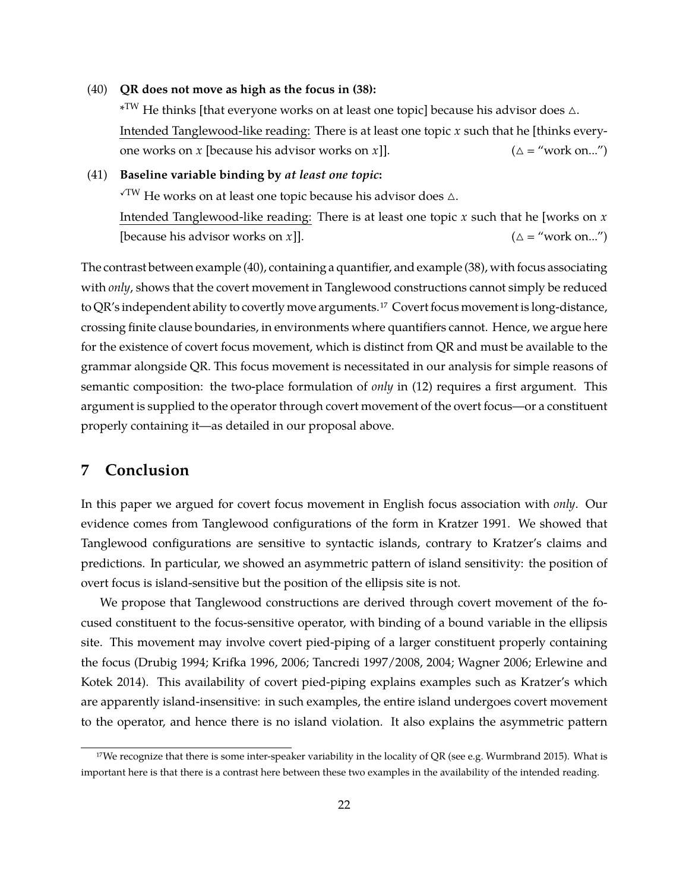(40) **QR does not move as high as the focus in (38):**

 $\rm{^{\ast}TW}$  He thinks [that everyone works on at least one topic] because his advisor does  $\vartriangle$ . Intended Tanglewood-like reading: There is at least one topic *x* such that he [thinks everyone works on *x* [because his advisor works on *x*]].  $(\Delta = \text{``work on...''})$ 

(41) **Baseline variable binding by** *at least one topic***:**  $\sqrt{TW}$  He works on at least one topic because his advisor does  $\triangle$ . Intended Tanglewood-like reading: There is at least one topic *x* such that he [works on *x* [because his advisor works on *x*]].  $(\Delta = \text{``work on...''})$ 

The contrast between example (40), containing a quantifier, and example (38), with focus associating with *only*, shows that the covert movement in Tanglewood constructions cannot simply be reduced to QR's independent ability to covertly move arguments.17 Covert focus movement is long-distance, crossing finite clause boundaries, in environments where quantifiers cannot. Hence, we argue here for the existence of covert focus movement, which is distinct from QR and must be available to the grammar alongside QR. This focus movement is necessitated in our analysis for simple reasons of semantic composition: the two-place formulation of *only* in (12) requires a first argument. This argument is supplied to the operator through covert movement of the overt focus—or a constituent properly containing it—as detailed in our proposal above.

# **7 Conclusion**

In this paper we argued for covert focus movement in English focus association with *only*. Our evidence comes from Tanglewood configurations of the form in Kratzer 1991. We showed that Tanglewood configurations are sensitive to syntactic islands, contrary to Kratzer's claims and predictions. In particular, we showed an asymmetric pattern of island sensitivity: the position of overt focus is island-sensitive but the position of the ellipsis site is not.

We propose that Tanglewood constructions are derived through covert movement of the focused constituent to the focus-sensitive operator, with binding of a bound variable in the ellipsis site. This movement may involve covert pied-piping of a larger constituent properly containing the focus (Drubig 1994; Krifka 1996, 2006; Tancredi 1997/2008, 2004; Wagner 2006; Erlewine and Kotek 2014). This availability of covert pied-piping explains examples such as Kratzer's which are apparently island-insensitive: in such examples, the entire island undergoes covert movement to the operator, and hence there is no island violation. It also explains the asymmetric pattern

<sup>&</sup>lt;sup>17</sup>We recognize that there is some inter-speaker variability in the locality of QR (see e.g. Wurmbrand 2015). What is important here is that there is a contrast here between these two examples in the availability of the intended reading.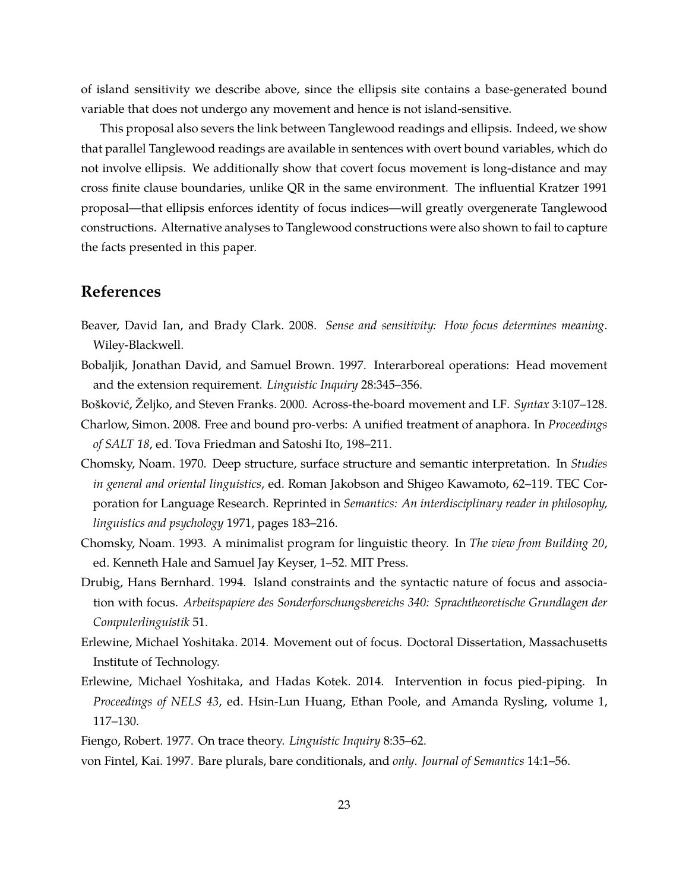of island sensitivity we describe above, since the ellipsis site contains a base-generated bound variable that does not undergo any movement and hence is not island-sensitive.

This proposal also severs the link between Tanglewood readings and ellipsis. Indeed, we show that parallel Tanglewood readings are available in sentences with overt bound variables, which do not involve ellipsis. We additionally show that covert focus movement is long-distance and may cross finite clause boundaries, unlike QR in the same environment. The influential Kratzer 1991 proposal—that ellipsis enforces identity of focus indices—will greatly overgenerate Tanglewood constructions. Alternative analyses to Tanglewood constructions were also shown to fail to capture the facts presented in this paper.

# **References**

- Beaver, David Ian, and Brady Clark. 2008. *Sense and sensitivity: How focus determines meaning*. Wiley-Blackwell.
- Bobaljik, Jonathan David, and Samuel Brown. 1997. Interarboreal operations: Head movement and the extension requirement. *Linguistic Inquiry* 28:345–356.
- Bošković, Željko, and Steven Franks. 2000. Across-the-board movement and LF. *Syntax* 3:107–128.
- Charlow, Simon. 2008. Free and bound pro-verbs: A unified treatment of anaphora. In *Proceedings of SALT 18*, ed. Tova Friedman and Satoshi Ito, 198–211.
- Chomsky, Noam. 1970. Deep structure, surface structure and semantic interpretation. In *Studies in general and oriental linguistics*, ed. Roman Jakobson and Shigeo Kawamoto, 62–119. TEC Corporation for Language Research. Reprinted in *Semantics: An interdisciplinary reader in philosophy, linguistics and psychology* 1971, pages 183–216.
- Chomsky, Noam. 1993. A minimalist program for linguistic theory. In *The view from Building 20*, ed. Kenneth Hale and Samuel Jay Keyser, 1–52. MIT Press.
- Drubig, Hans Bernhard. 1994. Island constraints and the syntactic nature of focus and association with focus. *Arbeitspapiere des Sonderforschungsbereichs 340: Sprachtheoretische Grundlagen der Computerlinguistik* 51.
- Erlewine, Michael Yoshitaka. 2014. Movement out of focus. Doctoral Dissertation, Massachusetts Institute of Technology.
- Erlewine, Michael Yoshitaka, and Hadas Kotek. 2014. Intervention in focus pied-piping. In *Proceedings of NELS 43*, ed. Hsin-Lun Huang, Ethan Poole, and Amanda Rysling, volume 1, 117–130.
- Fiengo, Robert. 1977. On trace theory. *Linguistic Inquiry* 8:35–62.

von Fintel, Kai. 1997. Bare plurals, bare conditionals, and *only*. *Journal of Semantics* 14:1–56.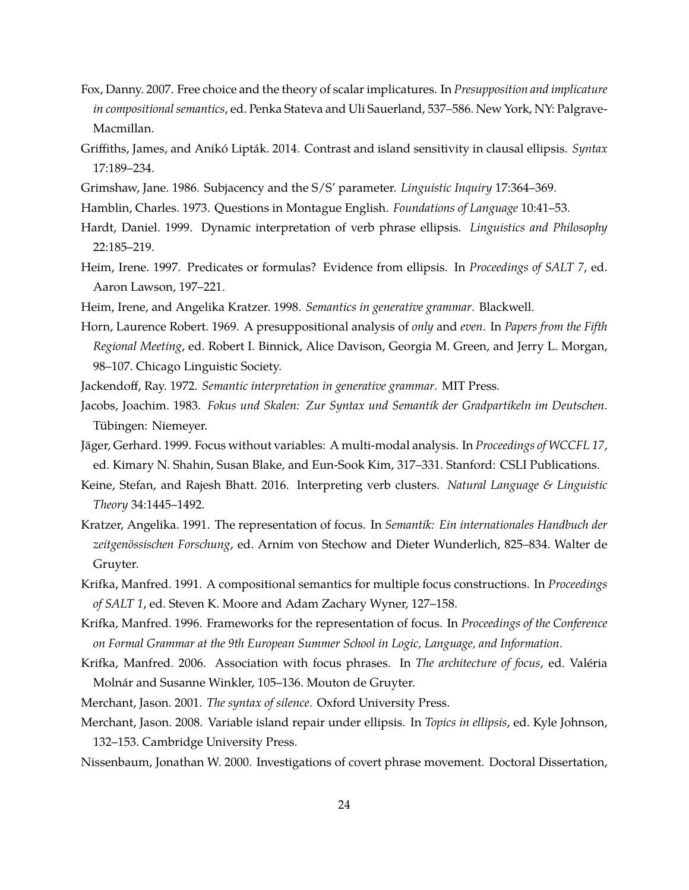- Fox, Danny. 2007. Free choice and the theory of scalar implicatures. In *Presupposition and implicature in compositional semantics*, ed. Penka Stateva and Uli Sauerland, 537–586. New York, NY: Palgrave-Macmillan.
- Griffiths, James, and Anikó Lipták. 2014. Contrast and island sensitivity in clausal ellipsis. *Syntax* 17:189–234.
- Grimshaw, Jane. 1986. Subjacency and the S/S' parameter. *Linguistic Inquiry* 17:364–369.
- Hamblin, Charles. 1973. Questions in Montague English. *Foundations of Language* 10:41–53.
- Hardt, Daniel. 1999. Dynamic interpretation of verb phrase ellipsis. *Linguistics and Philosophy* 22:185–219.
- Heim, Irene. 1997. Predicates or formulas? Evidence from ellipsis. In *Proceedings of SALT 7*, ed. Aaron Lawson, 197–221.
- Heim, Irene, and Angelika Kratzer. 1998. *Semantics in generative grammar*. Blackwell.
- Horn, Laurence Robert. 1969. A presuppositional analysis of *only* and *even*. In *Papers from the Fifth Regional Meeting*, ed. Robert I. Binnick, Alice Davison, Georgia M. Green, and Jerry L. Morgan, 98–107. Chicago Linguistic Society.
- Jackendoff, Ray. 1972. *Semantic interpretation in generative grammar*. MIT Press.
- Jacobs, Joachim. 1983. *Fokus und Skalen: Zur Syntax und Semantik der Gradpartikeln im Deutschen*. Tübingen: Niemeyer.
- Jäger, Gerhard. 1999. Focus without variables: A multi-modal analysis. In *Proceedings of WCCFL 17*, ed. Kimary N. Shahin, Susan Blake, and Eun-Sook Kim, 317–331. Stanford: CSLI Publications.
- Keine, Stefan, and Rajesh Bhatt. 2016. Interpreting verb clusters. *Natural Language & Linguistic Theory* 34:1445–1492.
- Kratzer, Angelika. 1991. The representation of focus. In *Semantik: Ein internationales Handbuch der zeitgenössischen Forschung*, ed. Arnim von Stechow and Dieter Wunderlich, 825–834. Walter de Gruyter.
- Krifka, Manfred. 1991. A compositional semantics for multiple focus constructions. In *Proceedings of SALT 1*, ed. Steven K. Moore and Adam Zachary Wyner, 127–158.
- Krifka, Manfred. 1996. Frameworks for the representation of focus. In *Proceedings of the Conference on Formal Grammar at the 9th European Summer School in Logic, Language, and Information*.
- Krifka, Manfred. 2006. Association with focus phrases. In *The architecture of focus*, ed. Valéria Molnár and Susanne Winkler, 105–136. Mouton de Gruyter.
- Merchant, Jason. 2001. *The syntax of silence*. Oxford University Press.
- Merchant, Jason. 2008. Variable island repair under ellipsis. In *Topics in ellipsis*, ed. Kyle Johnson, 132–153. Cambridge University Press.
- Nissenbaum, Jonathan W. 2000. Investigations of covert phrase movement. Doctoral Dissertation,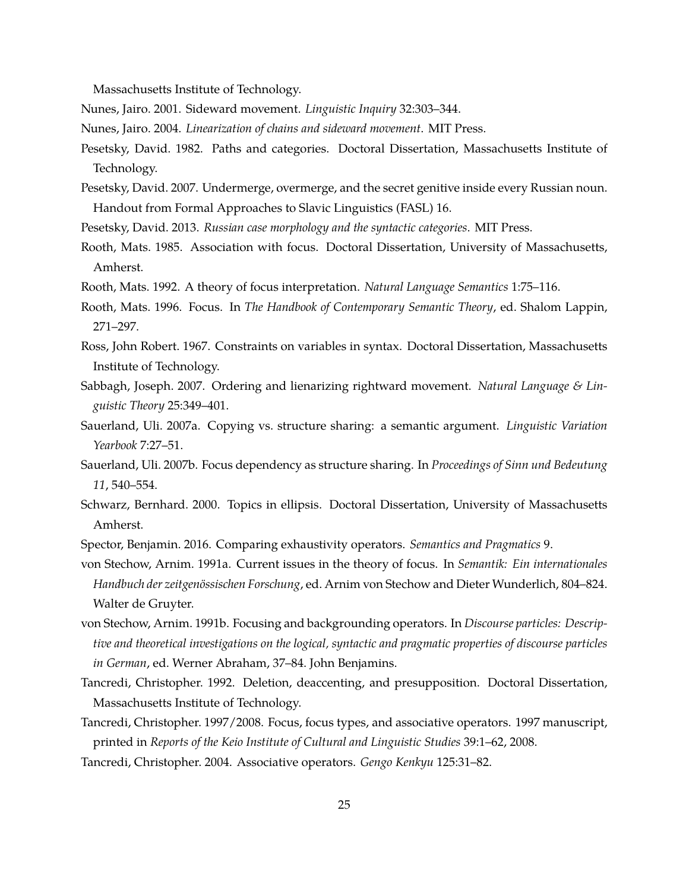Massachusetts Institute of Technology.

Nunes, Jairo. 2001. Sideward movement. *Linguistic Inquiry* 32:303–344.

Nunes, Jairo. 2004. *Linearization of chains and sideward movement*. MIT Press.

- Pesetsky, David. 1982. Paths and categories. Doctoral Dissertation, Massachusetts Institute of Technology.
- Pesetsky, David. 2007. Undermerge, overmerge, and the secret genitive inside every Russian noun. Handout from Formal Approaches to Slavic Linguistics (FASL) 16.
- Pesetsky, David. 2013. *Russian case morphology and the syntactic categories*. MIT Press.
- Rooth, Mats. 1985. Association with focus. Doctoral Dissertation, University of Massachusetts, Amherst.
- Rooth, Mats. 1992. A theory of focus interpretation. *Natural Language Semantics* 1:75–116.
- Rooth, Mats. 1996. Focus. In *The Handbook of Contemporary Semantic Theory*, ed. Shalom Lappin, 271–297.
- Ross, John Robert. 1967. Constraints on variables in syntax. Doctoral Dissertation, Massachusetts Institute of Technology.
- Sabbagh, Joseph. 2007. Ordering and lienarizing rightward movement. *Natural Language & Linguistic Theory* 25:349–401.
- Sauerland, Uli. 2007a. Copying vs. structure sharing: a semantic argument. *Linguistic Variation Yearbook* 7:27–51.
- Sauerland, Uli. 2007b. Focus dependency as structure sharing. In *Proceedings of Sinn und Bedeutung 11*, 540–554.
- Schwarz, Bernhard. 2000. Topics in ellipsis. Doctoral Dissertation, University of Massachusetts Amherst.
- Spector, Benjamin. 2016. Comparing exhaustivity operators. *Semantics and Pragmatics* 9.

von Stechow, Arnim. 1991a. Current issues in the theory of focus. In *Semantik: Ein internationales Handbuch der zeitgenössischen Forschung*, ed. Arnim von Stechow and Dieter Wunderlich, 804–824. Walter de Gruyter.

- von Stechow, Arnim. 1991b. Focusing and backgrounding operators. In *Discourse particles: Descriptive and theoretical investigations on the logical, syntactic and pragmatic properties of discourse particles in German*, ed. Werner Abraham, 37–84. John Benjamins.
- Tancredi, Christopher. 1992. Deletion, deaccenting, and presupposition. Doctoral Dissertation, Massachusetts Institute of Technology.
- Tancredi, Christopher. 1997/2008. Focus, focus types, and associative operators. 1997 manuscript, printed in *Reports of the Keio Institute of Cultural and Linguistic Studies* 39:1–62, 2008.
- Tancredi, Christopher. 2004. Associative operators. *Gengo Kenkyu* 125:31–82.